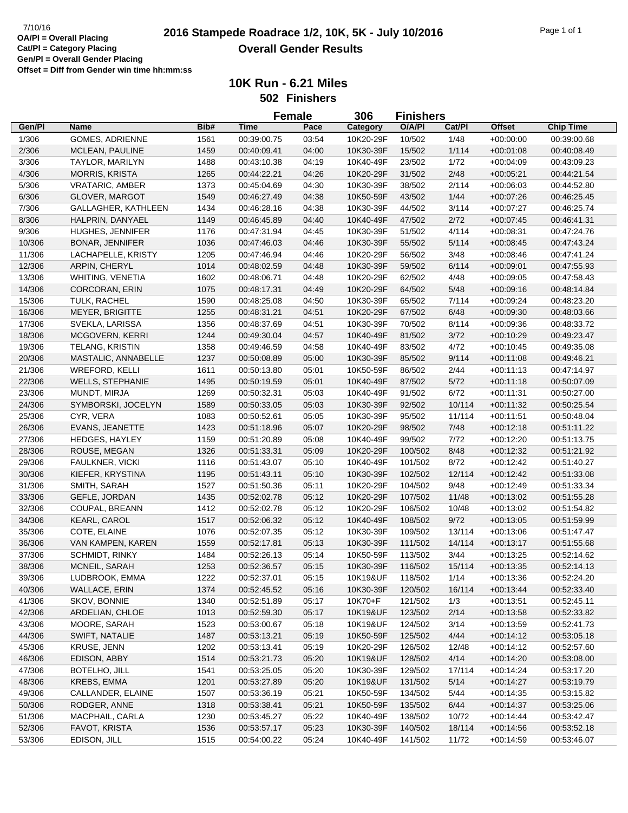|                  |                                        |      |             | <b>Female</b> | 306                    | <b>Finishers</b> |        |               |                            |
|------------------|----------------------------------------|------|-------------|---------------|------------------------|------------------|--------|---------------|----------------------------|
| Gen/Pl           | <b>Name</b>                            | Bib# | <b>Time</b> | Pace          | Category               | O/A/PI           | Cat/Pl | <b>Offset</b> | <b>Chip Time</b>           |
| 1/306            | <b>GOMES, ADRIENNE</b>                 | 1561 | 00:39:00.75 | 03:54         | 10K20-29F              | 10/502           | 1/48   | $+00:00:00$   | 00:39:00.68                |
| 2/306            | MCLEAN, PAULINE                        | 1459 | 00:40:09.41 | 04:00         | 10K30-39F              | 15/502           | 1/114  | $+00:01:08$   | 00:40:08.49                |
| 3/306            | TAYLOR, MARILYN                        | 1488 | 00:43:10.38 | 04:19         | 10K40-49F              | 23/502           | 1/72   | $+00:04:09$   | 00:43:09.23                |
| 4/306            | <b>MORRIS, KRISTA</b>                  | 1265 | 00:44:22.21 | 04:26         | 10K20-29F              | 31/502           | 2/48   | $+00:05:21$   | 00:44:21.54                |
| 5/306            | <b>VRATARIC, AMBER</b>                 | 1373 | 00:45:04.69 | 04:30         | 10K30-39F              | 38/502           | 2/114  | $+00:06:03$   | 00:44:52.80                |
| 6/306            | <b>GLOVER, MARGOT</b>                  | 1549 | 00:46:27.49 | 04:38         | 10K50-59F              | 43/502           | 1/44   | $+00:07:26$   | 00:46:25.45                |
| 7/306            | GALLAGHER, KATHLEEN                    | 1434 | 00:46:28.16 | 04:38         | 10K30-39F              | 44/502           | 3/114  | +00:07:27     | 00:46:25.74                |
| 8/306            | HALPRIN, DANYAEL                       | 1149 | 00:46:45.89 | 04:40         | 10K40-49F              | 47/502           | 2/72   | $+00:07:45$   | 00:46:41.31                |
| 9/306            | HUGHES, JENNIFER                       | 1176 | 00:47:31.94 | 04:45         | 10K30-39F              | 51/502           | 4/114  | $+00:08:31$   | 00:47:24.76                |
| 10/306           | <b>BONAR, JENNIFER</b>                 | 1036 | 00:47:46.03 | 04:46         | 10K30-39F              | 55/502           | 5/114  | $+00:08:45$   | 00:47:43.24                |
| 11/306           | LACHAPELLE, KRISTY                     | 1205 | 00:47:46.94 | 04:46         | 10K20-29F              | 56/502           | 3/48   | $+00:08:46$   | 00:47:41.24                |
| 12/306           | ARPIN, CHERYL                          | 1014 | 00:48:02.59 | 04:48         | 10K30-39F              | 59/502           | 6/114  | $+00:09:01$   | 00:47:55.93                |
| 13/306           | WHITING, VENETIA                       | 1602 | 00:48:06.71 | 04:48         | 10K20-29F              | 62/502           | 4/48   | $+00:09:05$   | 00:47:58.43                |
| 14/306           | <b>CORCORAN, ERIN</b>                  | 1075 | 00:48:17.31 | 04:49         | 10K20-29F              | 64/502           | 5/48   | $+00:09:16$   | 00:48:14.84                |
| 15/306           | TULK, RACHEL                           | 1590 | 00:48:25.08 | 04:50         | 10K30-39F              | 65/502           | 7/114  | $+00:09:24$   | 00:48:23.20                |
| 16/306           | <b>MEYER, BRIGITTE</b>                 | 1255 | 00:48:31.21 | 04:51         | 10K20-29F              | 67/502           | 6/48   | $+00:09:30$   | 00:48:03.66                |
| 17/306           | SVEKLA, LARISSA                        | 1356 | 00:48:37.69 | 04:51         | 10K30-39F              | 70/502           | 8/114  | $+00:09:36$   | 00:48:33.72                |
| 18/306           | <b>MCGOVERN, KERRI</b>                 | 1244 | 00:49:30.04 | 04:57         | 10K40-49F              | 81/502           | 3/72   | $+00:10:29$   | 00:49:23.47                |
| 19/306           | TELANG, KRISTIN                        | 1358 | 00:49:46.59 | 04:58         | 10K40-49F              | 83/502           | 4/72   | $+00:10:45$   | 00:49:35.08                |
| 20/306           | MASTALIC, ANNABELLE                    | 1237 | 00:50:08.89 | 05:00         | 10K30-39F              | 85/502           | 9/114  | $+00:11:08$   | 00:49:46.21                |
| 21/306           | <b>WREFORD, KELLI</b>                  | 1611 | 00:50:13.80 | 05:01         | 10K50-59F              | 86/502           | 2/44   | $+00:11:13$   | 00:47:14.97                |
| 22/306           | <b>WELLS, STEPHANIE</b>                | 1495 | 00:50:19.59 | 05:01         | 10K40-49F              | 87/502           | 5/72   | $+00:11:18$   | 00:50:07.09                |
| 23/306           | MUNDT, MIRJA                           | 1269 | 00:50:32.31 | 05:03         | 10K40-49F              | 91/502           | 6/72   | $+00:11:31$   | 00:50:27.00                |
| 24/306           | SYMBORSKI, JOCELYN                     | 1589 | 00:50:33.05 | 05:03         | 10K30-39F              | 92/502           | 10/114 | $+00:11:32$   | 00:50:25.54                |
| 25/306           | CYR, VERA                              | 1083 | 00:50:52.61 | 05:05         | 10K30-39F              | 95/502           | 11/114 | $+00:11:51$   | 00:50:48.04                |
| 26/306           | EVANS, JEANETTE                        | 1423 | 00:51:18.96 | 05:07         | 10K20-29F              | 98/502           | 7/48   | $+00:12:18$   | 00:51:11.22                |
| 27/306           | <b>HEDGES, HAYLEY</b>                  | 1159 | 00:51:20.89 | 05:08         | 10K40-49F              | 99/502           | 7/72   | $+00:12:20$   | 00:51:13.75                |
| 28/306           | ROUSE, MEGAN                           | 1326 | 00:51:33.31 | 05:09         | 10K20-29F              | 100/502          | 8/48   | $+00:12:32$   | 00:51:21.92                |
| 29/306           | FAULKNER, VICKI                        | 1116 | 00:51:43.07 | 05:10         | 10K40-49F              | 101/502          | 8/72   | $+00:12:42$   | 00:51:40.27                |
| 30/306           | KIEFER, KRYSTINA                       | 1195 | 00:51:43.11 | 05:10         | 10K30-39F              | 102/502          | 12/114 | $+00:12:42$   | 00:51:33.08                |
|                  | SMITH, SARAH                           | 1527 | 00:51:50.36 | 05:11         | 10K20-29F              | 104/502          | 9/48   | $+00:12:49$   |                            |
| 31/306           | GEFLE, JORDAN                          | 1435 | 00:52:02.78 | 05:12         | 10K20-29F              | 107/502          | 11/48  |               | 00:51:33.34<br>00:51:55.28 |
| 33/306<br>32/306 |                                        | 1412 | 00:52:02.78 | 05:12         | 10K20-29F              | 106/502          | 10/48  | $+00:13:02$   | 00:51:54.82                |
| 34/306           | COUPAL, BREANN<br>KEARL, CAROL         | 1517 | 00:52:06.32 | 05:12         | 10K40-49F              | 108/502          | 9/72   | $+00:13:02$   |                            |
|                  | COTE, ELAINE                           | 1076 |             | 05:12         | 10K30-39F              | 109/502          | 13/114 | $+00:13:05$   | 00:51:59.99                |
| 35/306           |                                        |      | 00:52:07.35 |               |                        |                  |        | $+00:13:06$   | 00:51:47.47                |
| 36/306           | VAN KAMPEN, KAREN                      | 1559 | 00:52:17.81 | 05:13         | 10K30-39F              | 111/502          | 14/114 | $+00:13:17$   | 00:51:55.68                |
| 37/306           | <b>SCHMIDT, RINKY</b><br>MCNEIL, SARAH | 1484 | 00:52:26.13 | 05:14         | 10K50-59F<br>10K30-39F | 113/502          | 3/44   | $+00:13:25$   | 00:52:14.62                |
| 38/306           |                                        | 1253 | 00:52:36.57 | 05:15         |                        | 116/502          | 15/114 | $+00:13:35$   | 00:52:14.13                |
| 39/306           | LUDBROOK, EMMA                         | 1222 | 00:52:37.01 | 05:15         | 10K19&UF               | 118/502          | 1/14   | $+00.13.36$   | 00:52:24.20                |
| 40/306           | <b>WALLACE, ERIN</b>                   | 1374 | 00:52:45.52 | 05:16         | 10K30-39F              | 120/502          | 16/114 | $+00:13:44$   | 00:52:33.40                |
| 41/306           | SKOV, BONNIE                           | 1340 | 00:52:51.89 | 05:17         | 10K70+F                | 121/502          | 1/3    | $+00:13:51$   | 00:52:45.11                |
| 42/306           | ARDELIAN, CHLOE                        | 1013 | 00:52:59.30 | 05:17         | 10K19&UF               | 123/502          | 2/14   | $+00:13:58$   | 00:52:33.82                |
| 43/306           | MOORE, SARAH                           | 1523 | 00:53:00.67 | 05:18         | 10K19&UF               | 124/502          | 3/14   | $+00:13:59$   | 00:52:41.73                |
| 44/306           | SWIFT, NATALIE                         | 1487 | 00:53:13.21 | 05:19         | 10K50-59F              | 125/502          | 4/44   | $+00:14:12$   | 00:53:05.18                |
| 45/306           | KRUSE, JENN                            | 1202 | 00:53:13.41 | 05:19         | 10K20-29F              | 126/502          | 12/48  | $+00.14.12$   | 00:52:57.60                |
| 46/306           | EDISON, ABBY                           | 1514 | 00:53:21.73 | 05:20         | 10K19&UF               | 128/502          | 4/14   | $+00:14:20$   | 00:53:08.00                |
| 47/306           | BOTELHO, JILL                          | 1541 | 00:53:25.05 | 05:20         | 10K30-39F              | 129/502          | 17/114 | $+00:14:24$   | 00:53:17.20                |
| 48/306           | KREBS, EMMA                            | 1201 | 00:53:27.89 | 05:20         | 10K19&UF               | 131/502          | 5/14   | $+00:14:27$   | 00:53:19.79                |
| 49/306           | CALLANDER, ELAINE                      | 1507 | 00:53:36.19 | 05:21         | 10K50-59F              | 134/502          | 5/44   | $+00.14.35$   | 00:53:15.82                |
| 50/306           | RODGER, ANNE                           | 1318 | 00:53:38.41 | 05:21         | 10K50-59F              | 135/502          | 6/44   | $+00.14.37$   | 00:53:25.06                |
| 51/306           | MACPHAIL, CARLA                        | 1230 | 00:53:45.27 | 05:22         | 10K40-49F              | 138/502          | 10/72  | $+00.14.44$   | 00:53:42.47                |
| 52/306           | FAVOT, KRISTA                          | 1536 | 00:53:57.17 | 05:23         | 10K30-39F              | 140/502          | 18/114 | $+00:14:56$   | 00:53:52.18                |
| 53/306           | EDISON, JILL                           | 1515 | 00:54:00.22 | 05:24         | 10K40-49F              | 141/502          | 11/72  | $+00:14:59$   | 00:53:46.07                |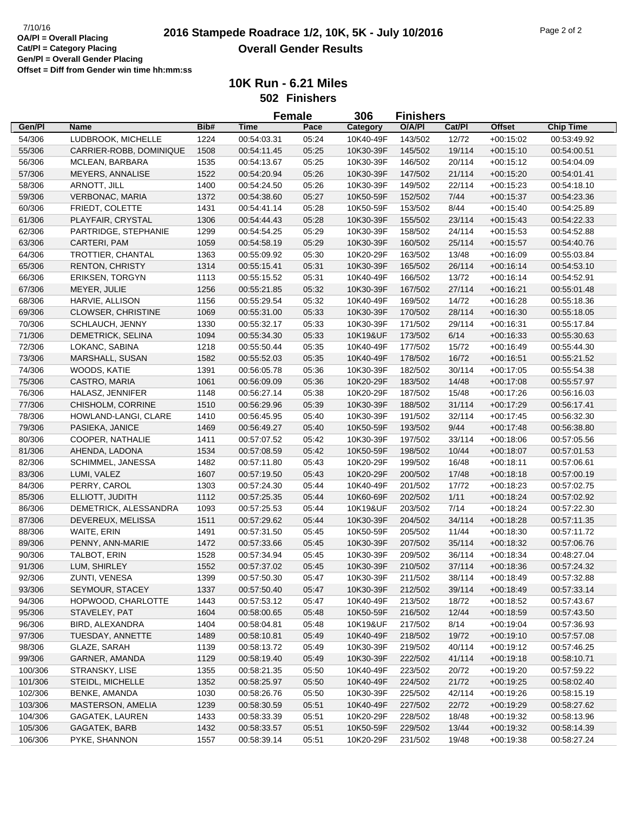**10K Run - 6.21 Miles 502 Finishers**

|         |                           |      | <b>Female</b> |       | 306       | <b>Finishers</b> |        |               |                  |
|---------|---------------------------|------|---------------|-------|-----------|------------------|--------|---------------|------------------|
| Gen/Pl  | <b>Name</b>               | Bib# | <b>Time</b>   | Pace  | Category  | O/A/PI           | Cat/Pl | <b>Offset</b> | <b>Chip Time</b> |
| 54/306  | LUDBROOK, MICHELLE        | 1224 | 00:54:03.31   | 05:24 | 10K40-49F | 143/502          | 12/72  | $+00:15:02$   | 00:53:49.92      |
| 55/306  | CARRIER-ROBB, DOMINIQUE   | 1508 | 00:54:11.45   | 05:25 | 10K30-39F | 145/502          | 19/114 | $+00:15:10$   | 00:54:00.51      |
| 56/306  | MCLEAN, BARBARA           | 1535 | 00:54:13.67   | 05:25 | 10K30-39F | 146/502          | 20/114 | $+00:15:12$   | 00:54:04.09      |
| 57/306  | MEYERS, ANNALISE          | 1522 | 00:54:20.94   | 05:26 | 10K30-39F | 147/502          | 21/114 | $+00:15:20$   | 00:54:01.41      |
| 58/306  | ARNOTT, JILL              | 1400 | 00:54:24.50   | 05:26 | 10K30-39F | 149/502          | 22/114 | $+00:15:23$   | 00:54:18.10      |
| 59/306  | <b>VERBONAC, MARIA</b>    | 1372 | 00:54:38.60   | 05:27 | 10K50-59F | 152/502          | 7/44   | $+00:15:37$   | 00:54:23.36      |
| 60/306  | FRIEDT, COLETTE           | 1431 | 00:54:41.14   | 05:28 | 10K50-59F | 153/502          | 8/44   | $+00:15:40$   | 00:54:25.89      |
| 61/306  | PLAYFAIR, CRYSTAL         | 1306 | 00:54:44.43   | 05:28 | 10K30-39F | 155/502          | 23/114 | $+00.15.43$   | 00:54:22.33      |
| 62/306  | PARTRIDGE, STEPHANIE      | 1299 | 00:54:54.25   | 05:29 | 10K30-39F | 158/502          | 24/114 | $+00:15:53$   | 00:54:52.88      |
| 63/306  | CARTERI, PAM              | 1059 | 00:54:58.19   | 05:29 | 10K30-39F | 160/502          | 25/114 | $+00:15:57$   | 00:54:40.76      |
| 64/306  | TROTTIER, CHANTAL         | 1363 | 00:55:09.92   | 05:30 | 10K20-29F | 163/502          | 13/48  | $+00:16:09$   | 00:55:03.84      |
| 65/306  | <b>RENTON, CHRISTY</b>    | 1314 | 00:55:15.41   | 05:31 | 10K30-39F | 165/502          | 26/114 | $+00:16:14$   | 00:54:53.10      |
| 66/306  | <b>ERIKSEN, TORGYN</b>    | 1113 | 00:55:15.52   | 05:31 | 10K40-49F | 166/502          | 13/72  | $+00:16:14$   | 00:54:52.91      |
| 67/306  | MEYER, JULIE              | 1256 | 00:55:21.85   | 05:32 | 10K30-39F | 167/502          | 27/114 | $+00:16:21$   | 00:55:01.48      |
| 68/306  | HARVIE, ALLISON           | 1156 | 00:55:29.54   | 05:32 | 10K40-49F | 169/502          | 14/72  | $+00:16:28$   | 00:55:18.36      |
| 69/306  | <b>CLOWSER, CHRISTINE</b> | 1069 | 00:55:31.00   | 05:33 | 10K30-39F | 170/502          | 28/114 | $+00:16:30$   | 00:55:18.05      |
| 70/306  | SCHLAUCH, JENNY           | 1330 | 00:55:32.17   | 05:33 | 10K30-39F | 171/502          | 29/114 | $+00:16:31$   | 00:55:17.84      |
| 71/306  | DEMETRICK, SELINA         | 1094 | 00:55:34.30   | 05:33 | 10K19&UF  | 173/502          | 6/14   | $+00:16:33$   | 00:55:30.63      |
| 72/306  | LOKANC, SABINA            | 1218 | 00:55:50.44   | 05:35 | 10K40-49F | 177/502          | 15/72  | $+00.16.49$   | 00:55:44.30      |
| 73/306  | <b>MARSHALL, SUSAN</b>    | 1582 | 00:55:52.03   | 05:35 | 10K40-49F | 178/502          | 16/72  | $+00:16:51$   | 00:55:21.52      |
|         | WOODS, KATIE              | 1391 | 00:56:05.78   | 05:36 | 10K30-39F | 182/502          | 30/114 | $+00:17:05$   | 00:55:54.38      |
| 74/306  | CASTRO, MARIA             | 1061 | 00:56:09.09   | 05:36 | 10K20-29F |                  | 14/48  | $+00.17.08$   | 00:55:57.97      |
| 75/306  |                           |      |               |       |           | 183/502          |        |               |                  |
| 76/306  | HALASZ, JENNIFER          | 1148 | 00:56:27.14   | 05:38 | 10K20-29F | 187/502          | 15/48  | $+00:17:26$   | 00:56:16.03      |
| 77/306  | CHISHOLM, CORRINE         | 1510 | 00:56:29.96   | 05:39 | 10K30-39F | 188/502          | 31/114 | $+00.17:29$   | 00:56:17.41      |
| 78/306  | HOWLAND-LANGI, CLARE      | 1410 | 00:56:45.95   | 05:40 | 10K30-39F | 191/502          | 32/114 | $+00:17:45$   | 00:56:32.30      |
| 79/306  | PASIEKA, JANICE           | 1469 | 00:56:49.27   | 05:40 | 10K50-59F | 193/502          | 9/44   | $+00:17:48$   | 00:56:38.80      |
| 80/306  | COOPER, NATHALIE          | 1411 | 00:57:07.52   | 05:42 | 10K30-39F | 197/502          | 33/114 | $+00:18:06$   | 00:57:05.56      |
| 81/306  | AHENDA, LADONA            | 1534 | 00:57:08.59   | 05:42 | 10K50-59F | 198/502          | 10/44  | $+00:18:07$   | 00:57:01.53      |
| 82/306  | SCHIMMEL, JANESSA         | 1482 | 00:57:11.80   | 05:43 | 10K20-29F | 199/502          | 16/48  | $+00:18:11$   | 00:57:06.61      |
| 83/306  | LUMI, VALEZ               | 1607 | 00:57:19.50   | 05:43 | 10K20-29F | 200/502          | 17/48  | $+00:18:18$   | 00:57:00.19      |
| 84/306  | PERRY, CAROL              | 1303 | 00:57:24.30   | 05:44 | 10K40-49F | 201/502          | 17/72  | $+00:18:23$   | 00:57:02.75      |
| 85/306  | ELLIOTT, JUDITH           | 1112 | 00:57:25.35   | 05:44 | 10K60-69F | 202/502          | 1/11   | $+00:18:24$   | 00:57:02.92      |
| 86/306  | DEMETRICK, ALESSANDRA     | 1093 | 00:57:25.53   | 05:44 | 10K19&UF  | 203/502          | 7/14   | $+00:18:24$   | 00:57:22.30      |
| 87/306  | DEVEREUX, MELISSA         | 1511 | 00:57:29.62   | 05:44 | 10K30-39F | 204/502          | 34/114 | $+00:18:28$   | 00:57:11.35      |
| 88/306  | WAITE, ERIN               | 1491 | 00:57:31.50   | 05:45 | 10K50-59F | 205/502          | 11/44  | $+00:18:30$   | 00:57:11.72      |
| 89/306  | PENNY, ANN-MARIE          | 1472 | 00:57:33.66   | 05:45 | 10K30-39F | 207/502          | 35/114 | $+00.18.32$   | 00:57:06.76      |
| 90/306  | <b>TALBOT, ERIN</b>       | 1528 | 00:57:34.94   | 05:45 | 10K30-39F | 209/502          | 36/114 | $+00:18:34$   | 00:48:27.04      |
| 91/306  | LUM, SHIRLEY              | 1552 | 00:57:37.02   | 05:45 | 10K30-39F | 210/502          | 37/114 | $+00.18.36$   | 00:57:24.32      |
| 92/306  | ZUNTI, VENESA             | 1399 | 00:57:50.30   | 05:47 | 10K30-39F | 211/502          | 38/114 | $+00:18:49$   | 00:57:32.88      |
| 93/306  | <b>SEYMOUR, STACEY</b>    | 1337 | 00:57:50.40   | 05:47 | 10K30-39F | 212/502          | 39/114 | $+00:18:49$   | 00:57:33.14      |
| 94/306  | HOPWOOD, CHARLOTTE        | 1443 | 00:57:53.12   | 05:47 | 10K40-49F | 213/502          | 18/72  | $+00:18:52$   | 00:57:43.67      |
| 95/306  | STAVELEY, PAT             | 1604 | 00:58:00.65   | 05:48 | 10K50-59F | 216/502          | 12/44  | $+00:18:59$   | 00:57:43.50      |
| 96/306  | BIRD, ALEXANDRA           | 1404 | 00:58:04.81   | 05:48 | 10K19&UF  | 217/502          | 8/14   | $+00:19:04$   | 00:57:36.93      |
| 97/306  | TUESDAY, ANNETTE          | 1489 | 00:58:10.81   | 05:49 | 10K40-49F | 218/502          | 19/72  | $+00:19:10$   | 00:57:57.08      |
| 98/306  | GLAZE, SARAH              | 1139 | 00:58:13.72   | 05:49 | 10K30-39F | 219/502          | 40/114 | $+00:19:12$   | 00:57:46.25      |
| 99/306  | GARNER, AMANDA            | 1129 | 00:58:19.40   | 05:49 | 10K30-39F | 222/502          | 41/114 | $+00:19:18$   | 00:58:10.71      |
| 100/306 | STRANSKY, LISE            | 1355 | 00:58:21.35   | 05:50 | 10K40-49F | 223/502          | 20/72  | $+00:19:20$   | 00:57:59.22      |
| 101/306 | STEIDL, MICHELLE          | 1352 | 00:58:25.97   | 05:50 | 10K40-49F | 224/502          | 21/72  | $+00:19:25$   | 00:58:02.40      |
| 102/306 | BENKE, AMANDA             | 1030 | 00:58:26.76   | 05:50 | 10K30-39F | 225/502          | 42/114 | $+00:19:26$   | 00:58:15.19      |
| 103/306 | MASTERSON, AMELIA         | 1239 | 00:58:30.59   | 05:51 | 10K40-49F | 227/502          | 22/72  | $+00:19:29$   | 00:58:27.62      |
| 104/306 | GAGATEK, LAUREN           | 1433 | 00:58:33.39   | 05:51 | 10K20-29F | 228/502          | 18/48  | $+00:19:32$   | 00:58:13.96      |
| 105/306 | GAGATEK, BARB             | 1432 | 00:58:33.57   | 05:51 | 10K50-59F | 229/502          | 13/44  | $+00:19:32$   | 00:58:14.39      |
| 106/306 | PYKE, SHANNON             | 1557 | 00:58:39.14   | 05:51 | 10K20-29F | 231/502          | 19/48  | $+00:19:38$   | 00:58:27.24      |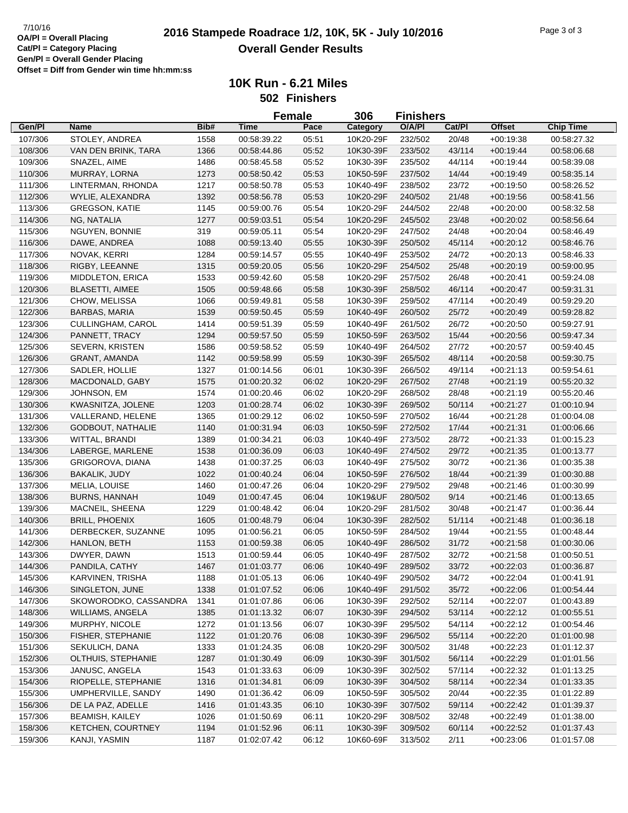|         |                          |      |             | <b>Female</b> | 306                    | <b>Finishers</b> |        |               |                  |
|---------|--------------------------|------|-------------|---------------|------------------------|------------------|--------|---------------|------------------|
| Gen/Pl  | <b>Name</b>              | Bib# | <b>Time</b> | Pace          | Category               | O/A/PI           | Cat/PI | <b>Offset</b> | <b>Chip Time</b> |
| 107/306 | STOLEY, ANDREA           | 1558 | 00:58:39.22 | 05:51         | 10K20-29F              | 232/502          | 20/48  | $+00:19:38$   | 00:58:27.32      |
| 108/306 | VAN DEN BRINK, TARA      | 1366 | 00:58:44.86 | 05:52         | 10K30-39F              | 233/502          | 43/114 | $+00:19:44$   | 00:58:06.68      |
| 109/306 | SNAZEL, AIME             | 1486 | 00:58:45.58 | 05:52         | 10K30-39F              | 235/502          | 44/114 | $+00.19.44$   | 00:58:39.08      |
| 110/306 | MURRAY, LORNA            | 1273 | 00:58:50.42 | 05:53         | 10K50-59F              | 237/502          | 14/44  | $+00:19:49$   | 00:58:35.14      |
| 111/306 | LINTERMAN, RHONDA        | 1217 | 00:58:50.78 | 05:53         | 10K40-49F              | 238/502          | 23/72  | $+00:19:50$   | 00:58:26.52      |
| 112/306 | WYLIE, ALEXANDRA         | 1392 | 00:58:56.78 | 05:53         | 10K20-29F              | 240/502          | 21/48  | $+00:19:56$   | 00:58:41.56      |
| 113/306 | <b>GREGSON, KATIE</b>    | 1145 | 00:59:00.76 | 05:54         | 10K20-29F              | 244/502          | 22/48  | $+00:20:00$   | 00:58:32.58      |
| 114/306 | NG, NATALIA              | 1277 | 00:59:03.51 | 05:54         | 10K20-29F              | 245/502          | 23/48  | $+00:20:02$   | 00:58:56.64      |
| 115/306 | NGUYEN, BONNIE           | 319  | 00:59:05.11 | 05:54         | 10K20-29F              | 247/502          | 24/48  | $+00:20:04$   | 00:58:46.49      |
| 116/306 | DAWE, ANDREA             | 1088 | 00:59:13.40 | 05:55         | 10K30-39F              | 250/502          | 45/114 | $+00:20:12$   | 00:58:46.76      |
| 117/306 | NOVAK, KERRI             | 1284 | 00:59:14.57 | 05:55         | 10K40-49F              | 253/502          | 24/72  | $+00:20:13$   | 00:58:46.33      |
| 118/306 | RIGBY, LEEANNE           | 1315 | 00:59:20.05 | 05:56         | 10K20-29F              | 254/502          | 25/48  | $+00:20:19$   | 00:59:00.95      |
| 119/306 | <b>MIDDLETON, ERICA</b>  | 1533 | 00:59:42.60 | 05:58         | 10K20-29F              | 257/502          | 26/48  | $+00:20:41$   | 00:59:24.08      |
| 120/306 | <b>BLASETTI, AIMEE</b>   | 1505 | 00:59:48.66 | 05:58         | 10K30-39F              | 258/502          | 46/114 | $+00:20:47$   | 00:59:31.31      |
| 121/306 | CHOW, MELISSA            | 1066 | 00:59:49.81 | 05:58         | 10K30-39F              | 259/502          | 47/114 | $+00:20:49$   | 00:59:29.20      |
| 122/306 | <b>BARBAS, MARIA</b>     | 1539 | 00:59:50.45 | 05:59         | 10K40-49F              | 260/502          | 25/72  | $+00:20:49$   | 00:59:28.82      |
| 123/306 | CULLINGHAM, CAROL        | 1414 | 00:59:51.39 | 05:59         | 10K40-49F              | 261/502          | 26/72  | $+00:20:50$   | 00:59:27.91      |
| 124/306 | PANNETT, TRACY           | 1294 | 00:59:57.50 | 05:59         | 10K50-59F              | 263/502          | 15/44  | $+00:20:56$   | 00:59:47.34      |
| 125/306 | SEVERN, KRISTEN          | 1586 | 00:59:58.52 | 05:59         | 10K40-49F              | 264/502          | 27/72  | $+00:20:57$   | 00:59:40.45      |
| 126/306 | <b>GRANT, AMANDA</b>     | 1142 | 00:59:58.99 | 05:59         | 10K30-39F              | 265/502          | 48/114 | $+00:20:58$   | 00:59:30.75      |
| 127/306 | SADLER, HOLLIE           | 1327 | 01:00:14.56 | 06:01         | 10K30-39F              | 266/502          | 49/114 | $+00:21:13$   | 00:59:54.61      |
| 128/306 | MACDONALD, GABY          | 1575 | 01:00:20.32 | 06:02         | 10K20-29F              | 267/502          | 27/48  | $+00:21:19$   | 00:55:20.32      |
|         |                          |      |             |               |                        |                  | 28/48  |               |                  |
| 129/306 | JOHNSON, EM              | 1574 | 01:00:20.46 | 06:02         | 10K20-29F<br>10K30-39F | 268/502          |        | $+00:21:19$   | 00:55:20.46      |
| 130/306 | KWASNITZA, JOLENE        | 1203 | 01:00:28.74 | 06:02         |                        | 269/502          | 50/114 | $+00:21:27$   | 01:00:10.94      |
| 131/306 | VALLERAND, HELENE        | 1365 | 01:00:29.12 | 06:02         | 10K50-59F              | 270/502          | 16/44  | $+00:21:28$   | 01:00:04.08      |
| 132/306 | <b>GODBOUT, NATHALIE</b> | 1140 | 01:00:31.94 | 06:03         | 10K50-59F              | 272/502          | 17/44  | $+00:21:31$   | 01:00:06.66      |
| 133/306 | WITTAL, BRANDI           | 1389 | 01:00:34.21 | 06:03         | 10K40-49F              | 273/502          | 28/72  | $+00:21:33$   | 01:00:15.23      |
| 134/306 | LABERGE, MARLENE         | 1538 | 01:00:36.09 | 06:03         | 10K40-49F              | 274/502          | 29/72  | $+00:21:35$   | 01:00:13.77      |
| 135/306 | GRIGOROVA, DIANA         | 1438 | 01:00:37.25 | 06:03         | 10K40-49F              | 275/502          | 30/72  | $+00:21:36$   | 01:00:35.38      |
| 136/306 | <b>BAKALIK, JUDY</b>     | 1022 | 01:00:40.24 | 06:04         | 10K50-59F              | 276/502          | 18/44  | $+00:21:39$   | 01:00:30.88      |
| 137/306 | MELIA, LOUISE            | 1460 | 01:00:47.26 | 06:04         | 10K20-29F              | 279/502          | 29/48  | $+00:21:46$   | 01:00:30.99      |
| 138/306 | BURNS, HANNAH            | 1049 | 01:00:47.45 | 06:04         | 10K19&UF               | 280/502          | 9/14   | $+00:21:46$   | 01:00:13.65      |
| 139/306 | MACNEIL, SHEENA          | 1229 | 01:00:48.42 | 06:04         | 10K20-29F              | 281/502          | 30/48  | $+00:21:47$   | 01:00:36.44      |
| 140/306 | <b>BRILL, PHOENIX</b>    | 1605 | 01:00:48.79 | 06:04         | 10K30-39F              | 282/502          | 51/114 | $+00.21:48$   | 01:00:36.18      |
| 141/306 | DERBECKER, SUZANNE       | 1095 | 01:00:56.21 | 06:05         | 10K50-59F              | 284/502          | 19/44  | $+00:21:55$   | 01:00:48.44      |
| 142/306 | HANLON, BETH             | 1153 | 01:00:59.38 | 06:05         | 10K40-49F              | 286/502          | 31/72  | $+00:21:58$   | 01:00:30.06      |
| 143/306 | DWYER, DAWN              | 1513 | 01:00:59.44 | 06:05         | 10K40-49F              | 287/502          | 32/72  | $+00:21:58$   | 01:00:50.51      |
| 144/306 | PANDILA, CATHY           | 1467 | 01:01:03.77 | 06:06         | 10K40-49F              | 289/502          | 33/72  | $+00:22:03$   | 01:00:36.87      |
| 145/306 | KARVINEN, TRISHA         | 1188 | 01:01:05.13 | 06:06         | 10K40-49F              | 290/502          | 34/72  | $+00:22:04$   | 01:00:41.91      |
| 146/306 | SINGLETON, JUNE          | 1338 | 01:01:07.52 | 06:06         | 10K40-49F              | 291/502          | 35/72  | $+00:22:06$   | 01:00:54.44      |
| 147/306 | SKOWORODKO, CASSANDRA    | 1341 | 01:01:07.86 | 06:06         | 10K30-39F              | 292/502          | 52/114 | $+00:22:07$   | 01:00:43.89      |
| 148/306 | <b>WILLIAMS, ANGELA</b>  | 1385 | 01:01:13.32 | 06:07         | 10K30-39F              | 294/502          | 53/114 | $+00:22:12$   | 01:00:55.51      |
| 149/306 | MURPHY, NICOLE           | 1272 | 01:01:13.56 | 06:07         | 10K30-39F              | 295/502          | 54/114 | $+00:22:12$   | 01:00:54.46      |
| 150/306 | FISHER, STEPHANIE        | 1122 | 01:01:20.76 | 06:08         | 10K30-39F              | 296/502          | 55/114 | $+00:22:20$   | 01:01:00.98      |
| 151/306 | SEKULICH, DANA           | 1333 | 01:01:24.35 | 06:08         | 10K20-29F              | 300/502          | 31/48  | $+00:22:23$   | 01:01:12.37      |
| 152/306 | OLTHUIS, STEPHANIE       | 1287 | 01:01:30.49 | 06:09         | 10K30-39F              | 301/502          | 56/114 | $+00:22:29$   | 01:01:01.56      |
| 153/306 | JANUSC, ANGELA           | 1543 | 01:01:33.63 | 06:09         | 10K30-39F              | 302/502          | 57/114 | $+00:22:32$   | 01:01:13.25      |
| 154/306 | RIOPELLE, STEPHANIE      | 1316 | 01:01:34.81 | 06:09         | 10K30-39F              | 304/502          | 58/114 | $+00:22:34$   | 01:01:33.35      |
| 155/306 | UMPHERVILLE, SANDY       | 1490 | 01:01:36.42 | 06:09         | 10K50-59F              | 305/502          | 20/44  | $+00:22:35$   | 01:01:22.89      |
| 156/306 | DE LA PAZ, ADELLE        | 1416 | 01:01:43.35 | 06:10         | 10K30-39F              | 307/502          | 59/114 | $+00:22:42$   | 01:01:39.37      |
| 157/306 | <b>BEAMISH, KAILEY</b>   | 1026 | 01:01:50.69 | 06:11         | 10K20-29F              | 308/502          | 32/48  | $+00:22:49$   | 01:01:38.00      |
| 158/306 | KETCHEN, COURTNEY        | 1194 | 01:01:52.96 | 06:11         | 10K30-39F              | 309/502          | 60/114 | $+00:22:52$   | 01:01:37.43      |
| 159/306 | KANJI, YASMIN            | 1187 | 01:02:07.42 | 06:12         | 10K60-69F              | 313/502          | 2/11   | $+00:23:06$   | 01:01:57.08      |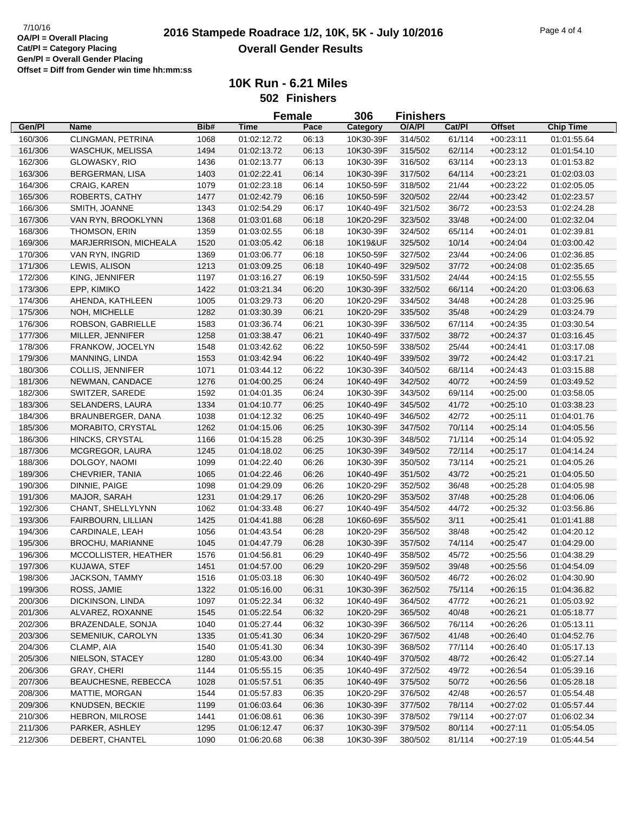**10K Run - 6.21 Miles 502 Finishers**

|         |                         |      | <b>Female</b> |       | 306       | Finishers |        |             |                  |
|---------|-------------------------|------|---------------|-------|-----------|-----------|--------|-------------|------------------|
| Gen/Pl  | Name                    | Bib# | <b>Time</b>   | Pace  | Category  | O/A/PI    | Cat/Pl | Offset      | <b>Chip Time</b> |
| 160/306 | CLINGMAN, PETRINA       | 1068 | 01:02:12.72   | 06:13 | 10K30-39F | 314/502   | 61/114 | $+00:23:11$ | 01:01:55.64      |
| 161/306 | <b>WASCHUK, MELISSA</b> | 1494 | 01:02:13.72   | 06:13 | 10K30-39F | 315/502   | 62/114 | $+00:23:12$ | 01:01:54.10      |
| 162/306 | GLOWASKY, RIO           | 1436 | 01:02:13.77   | 06:13 | 10K30-39F | 316/502   | 63/114 | $+00:23:13$ | 01:01:53.82      |
| 163/306 | <b>BERGERMAN, LISA</b>  | 1403 | 01:02:22.41   | 06:14 | 10K30-39F | 317/502   | 64/114 | $+00:23:21$ | 01:02:03.03      |
| 164/306 | CRAIG, KAREN            | 1079 | 01:02:23.18   | 06:14 | 10K50-59F | 318/502   | 21/44  | $+00:23:22$ | 01:02:05.05      |
| 165/306 | ROBERTS, CATHY          | 1477 | 01:02:42.79   | 06:16 | 10K50-59F | 320/502   | 22/44  | $+00:23:42$ | 01:02:23.57      |
| 166/306 | SMITH, JOANNE           | 1343 | 01:02:54.29   | 06:17 | 10K40-49F | 321/502   | 36/72  | $+00:23:53$ | 01:02:24.28      |
| 167/306 | VAN RYN, BROOKLYNN      | 1368 | 01:03:01.68   | 06:18 | 10K20-29F | 323/502   | 33/48  | $+00:24:00$ | 01:02:32.04      |
| 168/306 | THOMSON, ERIN           | 1359 | 01:03:02.55   | 06:18 | 10K30-39F | 324/502   | 65/114 | $+00:24:01$ | 01:02:39.81      |
| 169/306 | MARJERRISON, MICHEALA   | 1520 | 01:03:05.42   | 06:18 | 10K19&UF  | 325/502   | 10/14  | $+00:24:04$ | 01:03:00.42      |
| 170/306 | VAN RYN, INGRID         | 1369 | 01:03:06.77   | 06:18 | 10K50-59F | 327/502   | 23/44  | $+00:24:06$ | 01:02:36.85      |
| 171/306 | LEWIS, ALISON           | 1213 | 01:03:09.25   | 06:18 | 10K40-49F | 329/502   | 37/72  | $+00:24:08$ | 01:02:35.65      |
| 172/306 | KING, JENNIFER          | 1197 | 01:03:16.27   | 06:19 | 10K50-59F | 331/502   | 24/44  | $+00:24:15$ | 01:02:55.55      |
| 173/306 | EPP, KIMIKO             | 1422 | 01:03:21.34   | 06:20 | 10K30-39F | 332/502   | 66/114 | $+00:24:20$ | 01:03:06.63      |
| 174/306 | AHENDA, KATHLEEN        | 1005 | 01:03:29.73   | 06:20 | 10K20-29F | 334/502   | 34/48  | $+00:24:28$ | 01:03:25.96      |
| 175/306 | NOH, MICHELLE           | 1282 | 01:03:30.39   | 06:21 | 10K20-29F | 335/502   | 35/48  | $+00:24:29$ | 01:03:24.79      |
| 176/306 | ROBSON, GABRIELLE       | 1583 | 01:03:36.74   | 06:21 | 10K30-39F | 336/502   | 67/114 | $+00:24:35$ | 01:03:30.54      |
| 177/306 |                         |      | 01:03:38.47   |       |           |           |        |             |                  |
|         | MILLER, JENNIFER        | 1258 |               | 06:21 | 10K40-49F | 337/502   | 38/72  | $+00:24:37$ | 01:03:16.45      |
| 178/306 | FRANKOW, JOCELYN        | 1548 | 01:03:42.62   | 06:22 | 10K50-59F | 338/502   | 25/44  | $+00:24:41$ | 01:03:17.08      |
| 179/306 | MANNING, LINDA          | 1553 | 01:03:42.94   | 06:22 | 10K40-49F | 339/502   | 39/72  | $+00:24:42$ | 01:03:17.21      |
| 180/306 | <b>COLLIS, JENNIFER</b> | 1071 | 01:03:44.12   | 06:22 | 10K30-39F | 340/502   | 68/114 | $+00:24:43$ | 01:03:15.88      |
| 181/306 | NEWMAN, CANDACE         | 1276 | 01:04:00.25   | 06:24 | 10K40-49F | 342/502   | 40/72  | $+00:24:59$ | 01:03:49.52      |
| 182/306 | SWITZER, SAREDE         | 1592 | 01:04:01.35   | 06:24 | 10K30-39F | 343/502   | 69/114 | $+00:25:00$ | 01:03:58.05      |
| 183/306 | SELANDERS, LAURA        | 1334 | 01:04:10.77   | 06:25 | 10K40-49F | 345/502   | 41/72  | $+00:25:10$ | 01:03:38.23      |
| 184/306 | BRAUNBERGER, DANA       | 1038 | 01:04:12.32   | 06:25 | 10K40-49F | 346/502   | 42/72  | $+00:25:11$ | 01:04:01.76      |
| 185/306 | MORABITO, CRYSTAL       | 1262 | 01:04:15.06   | 06:25 | 10K30-39F | 347/502   | 70/114 | $+00:25:14$ | 01:04:05.56      |
| 186/306 | HINCKS, CRYSTAL         | 1166 | 01:04:15.28   | 06:25 | 10K30-39F | 348/502   | 71/114 | $+00:25:14$ | 01:04:05.92      |
| 187/306 | MCGREGOR, LAURA         | 1245 | 01:04:18.02   | 06:25 | 10K30-39F | 349/502   | 72/114 | $+00:25:17$ | 01:04:14.24      |
| 188/306 | DOLGOY, NAOMI           | 1099 | 01:04:22.40   | 06:26 | 10K30-39F | 350/502   | 73/114 | $+00:25:21$ | 01:04:05.26      |
| 189/306 | CHEVRIER, TANIA         | 1065 | 01:04:22.46   | 06:26 | 10K40-49F | 351/502   | 43/72  | $+00:25:21$ | 01:04:05.50      |
| 190/306 | DINNIE, PAIGE           | 1098 | 01:04:29.09   | 06:26 | 10K20-29F | 352/502   | 36/48  | $+00:25:28$ | 01:04:05.98      |
| 191/306 | MAJOR, SARAH            | 1231 | 01:04:29.17   | 06:26 | 10K20-29F | 353/502   | 37/48  | $+00:25:28$ | 01:04:06.06      |
| 192/306 | CHANT, SHELLYLYNN       | 1062 | 01:04:33.48   | 06:27 | 10K40-49F | 354/502   | 44/72  | $+00:25:32$ | 01:03:56.86      |
| 193/306 | FAIRBOURN, LILLIAN      | 1425 | 01:04:41.88   | 06:28 | 10K60-69F | 355/502   | 3/11   | $+00:25:41$ | 01:01:41.88      |
| 194/306 | CARDINALE, LEAH         | 1056 | 01:04:43.54   | 06:28 | 10K20-29F | 356/502   | 38/48  | $+00:25:42$ | 01:04:20.12      |
| 195/306 | <b>BROCHU, MARIANNE</b> | 1045 | 01:04:47.79   | 06:28 | 10K30-39F | 357/502   | 74/114 | $+00:25:47$ | 01:04:29.00      |
| 196/306 | MCCOLLISTER, HEATHER    | 1576 | 01:04:56.81   | 06:29 | 10K40-49F | 358/502   | 45/72  | $+00:25:56$ | 01:04:38.29      |
| 197/306 | KUJAWA, STEF            | 1451 | 01:04:57.00   | 06:29 | 10K20-29F | 359/502   | 39/48  | $+00:25:56$ | 01:04:54.09      |
| 198/306 | JACKSON, TAMMY          | 1516 | 01:05:03.18   | 06:30 | 10K40-49F | 360/502   | 46/72  | $+00:26:02$ | 01:04:30.90      |
| 199/306 | ROSS, JAMIE             | 1322 | 01:05:16.00   | 06:31 | 10K30-39F | 362/502   | 75/114 | $+00:26:15$ | 01:04:36.82      |
| 200/306 | DICKINSON, LINDA        | 1097 | 01:05:22.34   | 06:32 | 10K40-49F | 364/502   | 47/72  | $+00:26:21$ | 01:05:03.92      |
| 201/306 | ALVAREZ, ROXANNE        | 1545 | 01:05:22.54   | 06:32 | 10K20-29F | 365/502   | 40/48  | $+00:26:21$ | 01:05:18.77      |
| 202/306 | BRAZENDALE, SONJA       | 1040 | 01:05:27.44   | 06:32 | 10K30-39F | 366/502   | 76/114 | $+00:26:26$ | 01:05:13.11      |
| 203/306 | SEMENIUK, CAROLYN       | 1335 | 01:05:41.30   | 06:34 | 10K20-29F | 367/502   | 41/48  | $+00.26:40$ | 01:04:52.76      |
| 204/306 | CLAMP, AIA              | 1540 | 01:05:41.30   | 06:34 | 10K30-39F | 368/502   | 77/114 | $+00:26:40$ | 01:05:17.13      |
| 205/306 | NIELSON, STACEY         | 1280 | 01:05:43.00   | 06:34 | 10K40-49F | 370/502   | 48/72  | $+00:26:42$ | 01:05:27.14      |
| 206/306 | <b>GRAY, CHERI</b>      | 1144 | 01:05:55.15   | 06:35 | 10K40-49F | 372/502   | 49/72  | $+00:26:54$ | 01:05:39.16      |
| 207/306 | BEAUCHESNE, REBECCA     | 1028 | 01:05:57.51   | 06:35 | 10K40-49F | 375/502   | 50/72  | $+00.26:56$ | 01:05:28.18      |
| 208/306 | MATTIE, MORGAN          | 1544 | 01:05:57.83   | 06:35 | 10K20-29F | 376/502   | 42/48  | $+00:26:57$ | 01:05:54.48      |
| 209/306 | KNUDSEN, BECKIE         | 1199 | 01:06:03.64   | 06:36 | 10K30-39F | 377/502   | 78/114 | $+00:27:02$ | 01:05:57.44      |
| 210/306 | <b>HEBRON, MILROSE</b>  | 1441 | 01:06:08.61   | 06:36 | 10K30-39F | 378/502   | 79/114 | $+00:27:07$ | 01:06:02.34      |
| 211/306 | PARKER, ASHLEY          | 1295 | 01:06:12.47   | 06:37 | 10K30-39F | 379/502   | 80/114 | $+00:27:11$ | 01:05:54.05      |
| 212/306 | DEBERT, CHANTEL         | 1090 | 01:06:20.68   | 06:38 | 10K30-39F | 380/502   | 81/114 | $+00:27:19$ | 01:05:44.54      |
|         |                         |      |               |       |           |           |        |             |                  |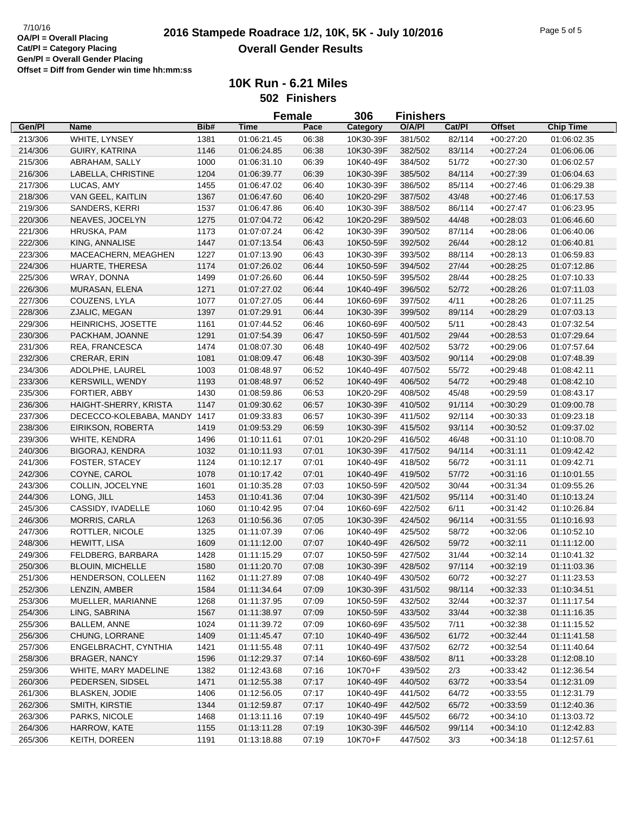|         |                                           |              |             | <b>Female</b> | 306       | <b>Finishers</b> |                |               |                  |
|---------|-------------------------------------------|--------------|-------------|---------------|-----------|------------------|----------------|---------------|------------------|
| Gen/Pl  | Name                                      | Bib#         | Time        | Pace          | Category  | O/A/PI           | Cat/PI         | <b>Offset</b> | <b>Chip Time</b> |
| 213/306 | WHITE, LYNSEY                             | 1381         | 01:06:21.45 | 06:38         | 10K30-39F | 381/502          | 82/114         | $+00:27:20$   | 01:06:02.35      |
| 214/306 | GUIRY, KATRINA                            | 1146         | 01:06:24.85 | 06:38         | 10K30-39F | 382/502          | 83/114         | $+00:27:24$   | 01:06:06.06      |
| 215/306 | ABRAHAM, SALLY                            | 1000         | 01:06:31.10 | 06:39         | 10K40-49F | 384/502          | 51/72          | $+00:27:30$   | 01:06:02.57      |
| 216/306 | LABELLA, CHRISTINE                        | 1204         | 01:06:39.77 | 06:39         | 10K30-39F | 385/502          | 84/114         | $+00:27:39$   | 01:06:04.63      |
| 217/306 | LUCAS, AMY                                | 1455         | 01:06:47.02 | 06:40         | 10K30-39F | 386/502          | 85/114         | $+00:27:46$   | 01:06:29.38      |
| 218/306 | VAN GEEL, KAITLIN                         | 1367         | 01:06:47.60 | 06:40         | 10K20-29F | 387/502          | 43/48          | $+00:27:46$   | 01:06:17.53      |
| 219/306 | SANDERS, KERRI                            | 1537         | 01:06:47.86 | 06:40         | 10K30-39F | 388/502          | 86/114         | $+00:27:47$   | 01:06:23.95      |
| 220/306 | NEAVES, JOCELYN                           | 1275         | 01:07:04.72 | 06:42         | 10K20-29F | 389/502          | 44/48          | $+00:28:03$   | 01:06:46.60      |
| 221/306 | HRUSKA, PAM                               | 1173         | 01:07:07.24 | 06:42         | 10K30-39F | 390/502          | 87/114         | $+00:28:06$   | 01:06:40.06      |
| 222/306 | KING, ANNALISE                            | 1447         | 01:07:13.54 | 06:43         | 10K50-59F | 392/502          | 26/44          | $+00:28:12$   | 01:06:40.81      |
| 223/306 | MACEACHERN, MEAGHEN                       | 1227         | 01:07:13.90 | 06:43         | 10K30-39F | 393/502          | 88/114         | $+00:28:13$   | 01:06:59.83      |
| 224/306 | HUARTE, THERESA                           | 1174         | 01:07:26.02 | 06:44         | 10K50-59F | 394/502          | 27/44          |               | 01:07:12.86      |
|         |                                           |              |             |               |           |                  |                | $+00:28:25$   |                  |
| 225/306 | WRAY, DONNA                               | 1499         | 01:07:26.60 | 06:44         | 10K50-59F | 395/502          | 28/44          | $+00:28:25$   | 01:07:10.33      |
| 226/306 | MURASAN, ELENA                            | 1271         | 01:07:27.02 | 06:44         | 10K40-49F | 396/502          | 52/72          | $+00:28:26$   | 01:07:11.03      |
| 227/306 | COUZENS, LYLA                             | 1077         | 01:07:27.05 | 06:44         | 10K60-69F | 397/502          | 4/11           | $+00:28:26$   | 01:07:11.25      |
| 228/306 | ZJALIC, MEGAN                             | 1397         | 01:07:29.91 | 06:44         | 10K30-39F | 399/502          | 89/114         | $+00:28:29$   | 01:07:03.13      |
| 229/306 | HEINRICHS, JOSETTE                        | 1161         | 01:07:44.52 | 06:46         | 10K60-69F | 400/502          | 5/11           | $+00:28:43$   | 01:07:32.54      |
| 230/306 | PACKHAM, JOANNE                           | 1291         | 01:07:54.39 | 06:47         | 10K50-59F | 401/502          | 29/44          | $+00:28:53$   | 01:07:29.64      |
| 231/306 | REA, FRANCESCA                            | 1474         | 01:08:07.30 | 06:48         | 10K40-49F | 402/502          | 53/72          | $+00:29:06$   | 01:07:57.64      |
| 232/306 | <b>CRERAR, ERIN</b>                       | 1081         | 01:08:09.47 | 06:48         | 10K30-39F | 403/502          | 90/114         | $+00:29:08$   | 01:07:48.39      |
| 234/306 | ADOLPHE, LAUREL                           | 1003         | 01:08:48.97 | 06:52         | 10K40-49F | 407/502          | 55/72          | $+00:29:48$   | 01:08:42.11      |
| 233/306 | <b>KERSWILL, WENDY</b>                    | 1193         | 01:08:48.97 | 06:52         | 10K40-49F | 406/502          | 54/72          | $+00:29:48$   | 01:08:42.10      |
| 235/306 | FORTIER, ABBY                             | 1430         | 01:08:59.86 | 06:53         | 10K20-29F | 408/502          | 45/48          | $+00:29:59$   | 01:08:43.17      |
| 236/306 | HAIGHT-SHERRY, KRISTA                     | 1147         | 01:09:30.62 | 06:57         | 10K30-39F | 410/502          | 91/114         | $+00:30:29$   | 01:09:00.78      |
| 237/306 | DECECCO-KOLEBABA, MANDY 1417              |              | 01:09:33.83 | 06:57         | 10K30-39F | 411/502          | 92/114         | $+00:30:33$   | 01:09:23.18      |
| 238/306 | EIRIKSON, ROBERTA                         | 1419         | 01:09:53.29 | 06:59         | 10K30-39F | 415/502          | 93/114         | $+00:30:52$   | 01:09:37.02      |
| 239/306 | WHITE, KENDRA                             | 1496         | 01:10:11.61 | 07:01         | 10K20-29F | 416/502          | 46/48          | $+00:31:10$   | 01:10:08.70      |
| 240/306 | <b>BIGORAJ, KENDRA</b>                    | 1032         | 01:10:11.93 | 07:01         | 10K30-39F | 417/502          | 94/114         | $+00:31:11$   | 01:09:42.42      |
| 241/306 | <b>FOSTER, STACEY</b>                     | 1124         | 01:10:12.17 | 07:01         | 10K40-49F | 418/502          | 56/72          | $+00:31:11$   | 01:09:42.71      |
| 242/306 | COYNE, CAROL                              | 1078         | 01:10:17.42 | 07:01         | 10K40-49F | 419/502          | 57/72          | $+00:31:16$   | 01:10:01.55      |
| 243/306 | COLLIN, JOCELYNE                          | 1601         | 01:10:35.28 | 07:03         | 10K50-59F | 420/502          | 30/44          | $+00:31:34$   | 01:09:55.26      |
| 244/306 | LONG, JILL                                | 1453         | 01:10:41.36 | 07:04         | 10K30-39F | 421/502          | 95/114         | $+00:31:40$   | 01:10:13.24      |
| 245/306 | CASSIDY, IVADELLE                         | 1060         | 01:10:42.95 | 07:04         | 10K60-69F | 422/502          | 6/11           | $+00:31:42$   | 01:10:26.84      |
| 246/306 | <b>MORRIS, CARLA</b>                      | 1263         | 01:10:56.36 | 07:05         | 10K30-39F | 424/502          | 96/114         | $+00:31:55$   | 01:10:16.93      |
| 247/306 | ROTTLER, NICOLE                           | 1325         | 01:11:07.39 | 07:06         | 10K40-49F | 425/502          | 58/72          | $+00:32:06$   | 01:10:52.10      |
| 248/306 | <b>HEWITT, LISA</b>                       | 1609         | 01:11:12.00 | 07:07         | 10K40-49F | 426/502          | 59/72          | $+00:32:11$   | 01:11:12.00      |
| 249/306 | FELDBERG, BARBARA                         | 1428         | 01:11:15.29 | 07:07         | 10K50-59F | 427/502          | 31/44          | $+00:32:14$   | 01:10:41.32      |
| 250/306 | <b>BLOUIN, MICHELLE</b>                   | 1580         | 01:11:20.70 | 07:08         | 10K30-39F | 428/502          | 97/114         | $+00:32:19$   | 01:11:03.36      |
| 251/306 | HENDERSON, COLLEEN                        | 1162         | 01:11:27.89 | 07:08         | 10K40-49F | 430/502          | 60/72          | $+00:32:27$   | 01:11:23.53      |
| 252/306 | LENZIN, AMBER                             | 1584         | 01:11:34.64 | 07:09         | 10K30-39F | 431/502          | 98/114         | $+00:32:33$   | 01:10:34.51      |
| 253/306 | MUELLER, MARIANNE                         | 1268         | 01:11:37.95 | 07:09         | 10K50-59F | 432/502          | 32/44          | $+00:32:37$   | 01:11:17.54      |
| 254/306 | LING, SABRINA                             | 1567         | 01:11:38.97 | 07:09         | 10K50-59F | 433/502          | 33/44          | $+00:32:38$   | 01:11:16.35      |
| 255/306 | BALLEM, ANNE                              | 1024         | 01:11:39.72 | 07:09         | 10K60-69F | 435/502          | 7/11           | $+00:32:38$   | 01:11:15.52      |
| 256/306 | CHUNG, LORRANE                            | 1409         | 01:11:45.47 | 07:10         | 10K40-49F | 436/502          | 61/72          | $+00.32:44$   | 01:11:41.58      |
| 257/306 | ENGELBRACHT, CYNTHIA                      | 1421         | 01:11:55.48 | 07:11         | 10K40-49F | 437/502          | 62/72          | $+00:32:54$   | 01:11:40.64      |
| 258/306 | <b>BRAGER, NANCY</b>                      | 1596         | 01:12:29.37 | 07:14         | 10K60-69F | 438/502          | 8/11           | $+00:33:28$   | 01:12:08.10      |
| 259/306 | WHITE, MARY MADELINE                      | 1382         | 01:12:43.68 | 07:16         | 10K70+F   | 439/502          | 2/3            | $+00:33:42$   | 01:12:36.54      |
|         |                                           |              |             |               | 10K40-49F | 440/502          |                |               |                  |
| 260/306 | PEDERSEN, SIDSEL<br><b>BLASKEN, JODIE</b> | 1471<br>1406 | 01:12:55.38 | 07:17         | 10K40-49F |                  | 63/72<br>64/72 | $+00:33:54$   | 01:12:31.09      |
| 261/306 |                                           |              | 01:12:56.05 | 07:17         |           | 441/502          |                | $+00:33:55$   | 01:12:31.79      |
| 262/306 | SMITH, KIRSTIE                            | 1344         | 01:12:59.87 | 07:17         | 10K40-49F | 442/502          | 65/72          | $+00:33:59$   | 01:12:40.36      |
| 263/306 | PARKS, NICOLE                             | 1468         | 01:13:11.16 | 07:19         | 10K40-49F | 445/502          | 66/72          | $+00:34:10$   | 01:13:03.72      |
| 264/306 | HARROW, KATE                              | 1155         | 01:13:11.28 | 07:19         | 10K30-39F | 446/502          | 99/114         | $+00:34:10$   | 01:12:42.83      |
| 265/306 | KEITH, DOREEN                             | 1191         | 01:13:18.88 | 07:19         | 10K70+F   | 447/502          | 3/3            | $+00:34:18$   | 01:12:57.61      |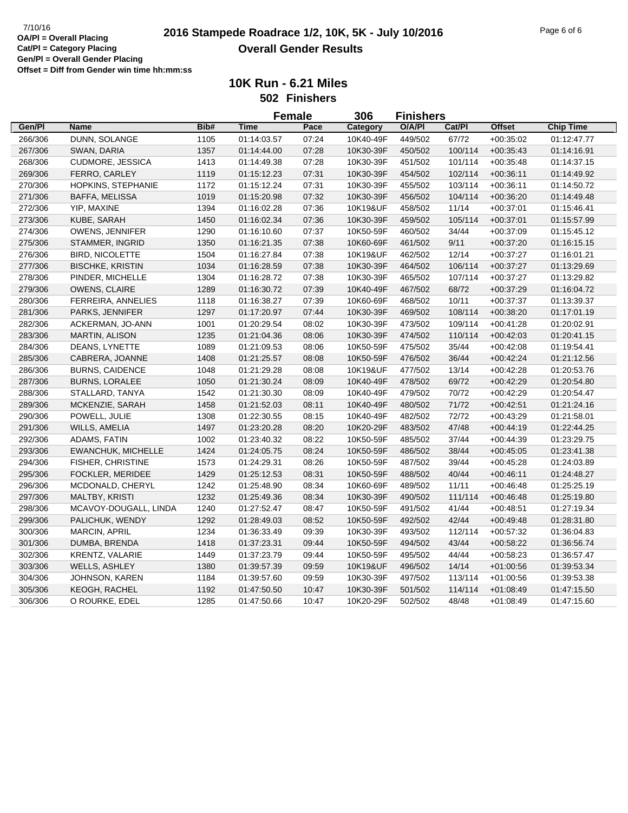|         |                         |      |             | <b>Female</b> | 306       | <b>Finishers</b> |         |               |                  |
|---------|-------------------------|------|-------------|---------------|-----------|------------------|---------|---------------|------------------|
| Gen/Pl  | <b>Name</b>             | Bib# | <b>Time</b> | Pace          | Category  | O/A/PI           | Cat/PI  | <b>Offset</b> | <b>Chip Time</b> |
| 266/306 | DUNN, SOLANGE           | 1105 | 01:14:03.57 | 07:24         | 10K40-49F | 449/502          | 67/72   | $+00:35:02$   | 01:12:47.77      |
| 267/306 | SWAN, DARIA             | 1357 | 01:14:44.00 | 07:28         | 10K30-39F | 450/502          | 100/114 | $+00.35.43$   | 01:14:16.91      |
| 268/306 | <b>CUDMORE, JESSICA</b> | 1413 | 01:14:49.38 | 07:28         | 10K30-39F | 451/502          | 101/114 | $+00:35:48$   | 01:14:37.15      |
| 269/306 | FERRO, CARLEY           | 1119 | 01:15:12.23 | 07:31         | 10K30-39F | 454/502          | 102/114 | $+00:36:11$   | 01:14:49.92      |
| 270/306 | HOPKINS, STEPHANIE      | 1172 | 01:15:12.24 | 07:31         | 10K30-39F | 455/502          | 103/114 | $+00.36.11$   | 01:14:50.72      |
| 271/306 | BAFFA, MELISSA          | 1019 | 01:15:20.98 | 07:32         | 10K30-39F | 456/502          | 104/114 | $+00.36:20$   | 01:14:49.48      |
| 272/306 | YIP, MAXINE             | 1394 | 01:16:02.28 | 07:36         | 10K19&UF  | 458/502          | 11/14   | $+00.37:01$   | 01:15:46.41      |
| 273/306 | KUBE, SARAH             | 1450 | 01:16:02.34 | 07:36         | 10K30-39F | 459/502          | 105/114 | $+00:37:01$   | 01:15:57.99      |
| 274/306 | OWENS, JENNIFER         | 1290 | 01:16:10.60 | 07:37         | 10K50-59F | 460/502          | 34/44   | $+00:37:09$   | 01:15:45.12      |
| 275/306 | STAMMER, INGRID         | 1350 | 01:16:21.35 | 07:38         | 10K60-69F | 461/502          | 9/11    | $+00:37:20$   | 01:16:15.15      |
| 276/306 | <b>BIRD, NICOLETTE</b>  | 1504 | 01:16:27.84 | 07:38         | 10K19&UF  | 462/502          | 12/14   | $+00:37:27$   | 01:16:01.21      |
| 277/306 | <b>BISCHKE, KRISTIN</b> | 1034 | 01:16:28.59 | 07:38         | 10K30-39F | 464/502          | 106/114 | $+00:37:27$   | 01:13:29.69      |
| 278/306 | PINDER, MICHELLE        | 1304 | 01:16:28.72 | 07:38         | 10K30-39F | 465/502          | 107/114 | $+00:37:27$   | 01:13:29.82      |
| 279/306 | <b>OWENS, CLAIRE</b>    | 1289 | 01:16:30.72 | 07:39         | 10K40-49F | 467/502          | 68/72   | $+00.37:29$   | 01:16:04.72      |
| 280/306 | FERREIRA, ANNELIES      | 1118 | 01:16:38.27 | 07:39         | 10K60-69F | 468/502          | 10/11   | $+00:37:37$   | 01:13:39.37      |
| 281/306 | PARKS, JENNIFER         | 1297 | 01:17:20.97 | 07:44         | 10K30-39F | 469/502          | 108/114 | $+00:38:20$   | 01:17:01.19      |
| 282/306 | ACKERMAN, JO-ANN        | 1001 | 01:20:29.54 | 08:02         | 10K30-39F | 473/502          | 109/114 | $+00:41:28$   | 01:20:02.91      |
| 283/306 | <b>MARTIN, ALISON</b>   | 1235 | 01:21:04.36 | 08:06         | 10K30-39F | 474/502          | 110/114 | $+00.42:03$   | 01:20:41.15      |
| 284/306 | DEANS, LYNETTE          | 1089 | 01:21:09.53 | 08:06         | 10K50-59F | 475/502          | 35/44   | $+00.42:08$   | 01:19:54.41      |
| 285/306 | CABRERA, JOANNE         | 1408 | 01:21:25.57 | 08:08         | 10K50-59F | 476/502          | 36/44   | $+00.42:24$   | 01:21:12.56      |
| 286/306 | <b>BURNS, CAIDENCE</b>  | 1048 | 01:21:29.28 | 08:08         | 10K19&UF  | 477/502          | 13/14   | $+00:42:28$   | 01:20:53.76      |
| 287/306 | <b>BURNS, LORALEE</b>   | 1050 | 01:21:30.24 | 08:09         | 10K40-49F | 478/502          | 69/72   | $+00:42:29$   | 01:20:54.80      |
| 288/306 | STALLARD, TANYA         | 1542 | 01:21:30.30 | 08:09         | 10K40-49F | 479/502          | 70/72   | $+00:42:29$   | 01:20:54.47      |
| 289/306 | MCKENZIE, SARAH         | 1458 | 01:21:52.03 | 08:11         | 10K40-49F | 480/502          | 71/72   | $+00:42:51$   | 01:21:24.16      |
| 290/306 | POWELL, JULIE           | 1308 | 01:22:30.55 | 08:15         | 10K40-49F | 482/502          | 72/72   | $+00:43:29$   | 01:21:58.01      |
| 291/306 | WILLS, AMELIA           | 1497 | 01:23:20.28 | 08:20         | 10K20-29F | 483/502          | 47/48   | $+00.44:19$   | 01:22:44.25      |
| 292/306 | ADAMS, FATIN            | 1002 | 01:23:40.32 | 08:22         | 10K50-59F | 485/502          | 37/44   | $+00.44.39$   | 01:23:29.75      |
| 293/306 | EWANCHUK, MICHELLE      | 1424 | 01:24:05.75 | 08:24         | 10K50-59F | 486/502          | 38/44   | $+00.45:05$   | 01:23:41.38      |
| 294/306 | FISHER, CHRISTINE       | 1573 | 01:24:29.31 | 08:26         | 10K50-59F | 487/502          | 39/44   | $+00:45:28$   | 01:24:03.89      |
| 295/306 | FOCKLER, MERIDEE        | 1429 | 01:25:12.53 | 08:31         | 10K50-59F | 488/502          | 40/44   | $+00:46:11$   | 01:24:48.27      |
| 296/306 | MCDONALD, CHERYL        | 1242 | 01:25:48.90 | 08:34         | 10K60-69F | 489/502          | 11/11   | $+00.46:48$   | 01:25:25.19      |
| 297/306 | MALTBY, KRISTI          | 1232 | 01:25:49.36 | 08:34         | 10K30-39F | 490/502          | 111/114 | $+00:46:48$   | 01:25:19.80      |
| 298/306 | MCAVOY-DOUGALL, LINDA   | 1240 | 01:27:52.47 | 08:47         | 10K50-59F | 491/502          | 41/44   | $+00:48:51$   | 01:27:19.34      |
| 299/306 | PALICHUK, WENDY         | 1292 | 01:28:49.03 | 08:52         | 10K50-59F | 492/502          | 42/44   | $+00.49.48$   | 01:28:31.80      |
| 300/306 | MARCIN, APRIL           | 1234 | 01:36:33.49 | 09:39         | 10K30-39F | 493/502          | 112/114 | $+00:57:32$   | 01:36:04.83      |
| 301/306 | DUMBA, BRENDA           | 1418 | 01:37:23.31 | 09:44         | 10K50-59F | 494/502          | 43/44   | $+00:58:22$   | 01:36:56.74      |
| 302/306 | <b>KRENTZ, VALARIE</b>  | 1449 | 01:37:23.79 | 09:44         | 10K50-59F | 495/502          | 44/44   | $+00.58.23$   | 01:36:57.47      |
| 303/306 | <b>WELLS, ASHLEY</b>    | 1380 | 01:39:57.39 | 09:59         | 10K19&UF  | 496/502          | 14/14   | $+01:00:56$   | 01:39:53.34      |
| 304/306 | <b>JOHNSON, KAREN</b>   | 1184 | 01:39:57.60 | 09:59         | 10K30-39F | 497/502          | 113/114 | $+01:00:56$   | 01:39:53.38      |
| 305/306 | <b>KEOGH, RACHEL</b>    | 1192 | 01:47:50.50 | 10:47         | 10K30-39F | 501/502          | 114/114 | $+01:08:49$   | 01:47:15.50      |
| 306/306 | O ROURKE, EDEL          | 1285 | 01:47:50.66 | 10:47         | 10K20-29F | 502/502          | 48/48   | $+01:08:49$   | 01:47:15.60      |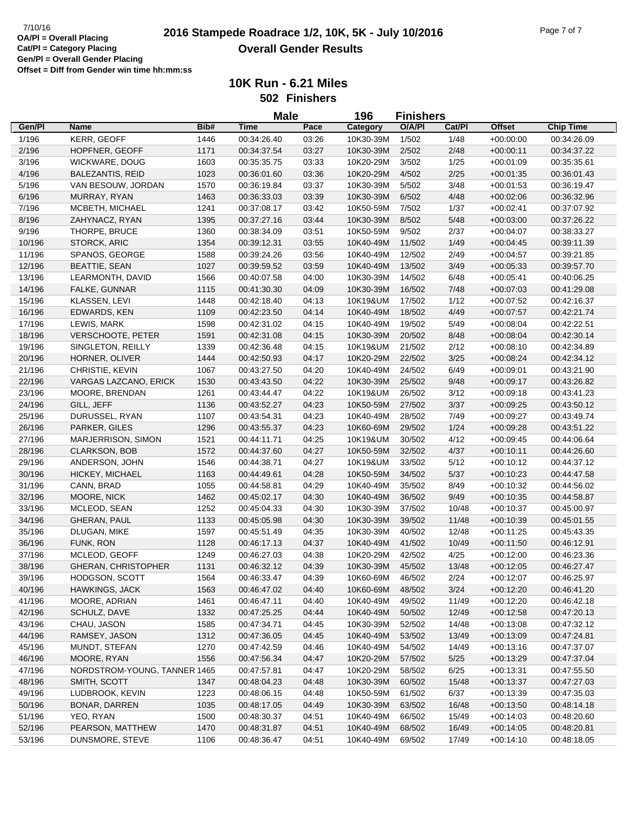**10K Run - 6.21 Miles 502 Finishers**

|        |                              |      | <b>Male</b> |       | 196<br><b>Finishers</b> |        |        |               |                  |
|--------|------------------------------|------|-------------|-------|-------------------------|--------|--------|---------------|------------------|
| Gen/Pl | <b>Name</b>                  | Bib# | Time        | Pace  | Category                | O/A/PI | Cat/Pl | <b>Offset</b> | <b>Chip Time</b> |
| 1/196  | KERR, GEOFF                  | 1446 | 00:34:26.40 | 03:26 | 10K30-39M               | 1/502  | 1/48   | $+00:00:00$   | 00:34:26.09      |
| 2/196  | HOPFNER, GEOFF               | 1171 | 00:34:37.54 | 03:27 | 10K30-39M               | 2/502  | 2/48   | $+00:00:11$   | 00:34:37.22      |
| 3/196  | WICKWARE, DOUG               | 1603 | 00:35:35.75 | 03:33 | 10K20-29M               | 3/502  | 1/25   | $+00:01:09$   | 00:35:35.61      |
| 4/196  | <b>BALEZANTIS, REID</b>      | 1023 | 00:36:01.60 | 03:36 | 10K20-29M               | 4/502  | 2/25   | $+00:01:35$   | 00:36:01.43      |
| 5/196  | VAN BESOUW, JORDAN           | 1570 | 00:36:19.84 | 03:37 | 10K30-39M               | 5/502  | 3/48   | $+00:01:53$   | 00:36:19.47      |
| 6/196  | MURRAY, RYAN                 | 1463 | 00:36:33.03 | 03:39 | 10K30-39M               | 6/502  | 4/48   | $+00:02:06$   | 00:36:32.96      |
| 7/196  | MCBETH, MICHAEL              | 1241 | 00:37:08.17 | 03:42 | 10K50-59M               | 7/502  | 1/37   | $+00:02:41$   | 00:37:07.92      |
| 8/196  | ZAHYNACZ, RYAN               | 1395 | 00:37:27.16 | 03:44 | 10K30-39M               | 8/502  | 5/48   | $+00:03:00$   | 00:37:26.22      |
| 9/196  | THORPE, BRUCE                | 1360 | 00:38:34.09 | 03:51 | 10K50-59M               | 9/502  | 2/37   | $+00.04:07$   | 00:38:33.27      |
| 10/196 | STORCK, ARIC                 | 1354 | 00:39:12.31 | 03:55 | 10K40-49M               | 11/502 | 1/49   | $+00:04:45$   | 00:39:11.39      |
| 11/196 | SPANOS, GEORGE               | 1588 | 00:39:24.26 | 03:56 | 10K40-49M               | 12/502 | 2/49   | $+00:04:57$   | 00:39:21.85      |
| 12/196 | <b>BEATTIE, SEAN</b>         | 1027 | 00:39:59.52 | 03:59 | 10K40-49M               | 13/502 | 3/49   | $+00:05:33$   | 00:39:57.70      |
| 13/196 | LEARMONTH, DAVID             | 1566 | 00:40:07.58 | 04:00 | 10K30-39M               | 14/502 | 6/48   | $+00:05:41$   | 00:40:06.25      |
| 14/196 | FALKE, GUNNAR                | 1115 | 00:41:30.30 | 04:09 | 10K30-39M               | 16/502 | 7/48   | $+00:07:03$   | 00:41:29.08      |
| 15/196 | KLASSEN, LEVI                | 1448 | 00:42:18.40 | 04:13 | 10K19&UM                | 17/502 | 1/12   | $+00:07:52$   | 00:42:16.37      |
| 16/196 | EDWARDS, KEN                 | 1109 | 00:42:23.50 | 04:14 | 10K40-49M               | 18/502 | 4/49   | $+00:07:57$   | 00:42:21.74      |
| 17/196 | LEWIS, MARK                  | 1598 | 00:42:31.02 | 04:15 | 10K40-49M               | 19/502 | 5/49   | $+00:08:04$   | 00:42:22.51      |
| 18/196 | <b>VERSCHOOTE, PETER</b>     | 1591 | 00:42:31.08 | 04:15 | 10K30-39M               | 20/502 | 8/48   | $+00.08:04$   | 00:42:30.14      |
| 19/196 | SINGLETON, REILLY            | 1339 | 00:42:36.48 | 04:15 | 10K19&UM                | 21/502 | 2/12   | $+00:08:10$   | 00:42:34.89      |
| 20/196 | HORNER, OLIVER               | 1444 | 00:42:50.93 | 04:17 | 10K20-29M               | 22/502 | 3/25   | $+00:08:24$   | 00:42:34.12      |
| 21/196 | CHRISTIE, KEVIN              | 1067 | 00:43:27.50 | 04:20 | 10K40-49M               | 24/502 | 6/49   | $+00:09:01$   | 00:43:21.90      |
| 22/196 | VARGAS LAZCANO, ERICK        | 1530 | 00:43:43.50 | 04:22 | 10K30-39M               | 25/502 | 9/48   | $+00:09:17$   | 00:43:26.82      |
| 23/196 | MOORE, BRENDAN               | 1261 | 00:43:44.47 | 04:22 | 10K19&UM                | 26/502 | 3/12   | $+00:09:18$   | 00:43:41.23      |
| 24/196 | GILL, JEFF                   | 1136 | 00:43:52.27 | 04:23 | 10K50-59M               | 27/502 | 3/37   | $+00:09:25$   | 00:43:50.12      |
| 25/196 | DURUSSEL, RYAN               | 1107 | 00:43:54.31 | 04:23 | 10K40-49M               | 28/502 | 7/49   | $+00:09:27$   | 00:43:49.74      |
| 26/196 | PARKER, GILES                | 1296 | 00:43:55.37 | 04:23 | 10K60-69M               | 29/502 | 1/24   | $+00:09:28$   | 00:43:51.22      |
| 27/196 | MARJERRISON, SIMON           | 1521 | 00:44:11.71 | 04:25 | 10K19&UM                | 30/502 | 4/12   | $+00:09:45$   | 00:44:06.64      |
| 28/196 | <b>CLARKSON, BOB</b>         | 1572 | 00:44:37.60 | 04:27 | 10K50-59M               | 32/502 | 4/37   | $+00:10:11$   | 00:44:26.60      |
| 29/196 | ANDERSON, JOHN               | 1546 | 00:44:38.71 | 04:27 | 10K19&UM                | 33/502 | 5/12   | $+00:10:12$   | 00:44:37.12      |
| 30/196 | HICKEY, MICHAEL              | 1163 | 00:44:49.61 | 04:28 | 10K50-59M               | 34/502 | 5/37   | $+00:10:23$   | 00:44:47.58      |
| 31/196 | CANN, BRAD                   | 1055 | 00:44:58.81 | 04:29 | 10K40-49M               | 35/502 | 8/49   | $+00:10:32$   | 00:44:56.02      |
| 32/196 | MOORE, NICK                  | 1462 | 00:45:02.17 | 04:30 | 10K40-49M               | 36/502 | 9/49   | $+00:10:35$   | 00:44:58.87      |
| 33/196 | MCLEOD, SEAN                 | 1252 | 00:45:04.33 | 04:30 | 10K30-39M               | 37/502 | 10/48  | $+00:10:37$   | 00:45:00.97      |
| 34/196 | <b>GHERAN, PAUL</b>          | 1133 | 00:45:05.98 | 04:30 | 10K30-39M               | 39/502 | 11/48  | $+00:10:39$   | 00:45:01.55      |
| 35/196 | DLUGAN, MIKE                 | 1597 | 00:45:51.49 | 04:35 | 10K30-39M               | 40/502 | 12/48  | $+00:11:25$   | 00:45:43.35      |
| 36/196 | FUNK, RON                    | 1128 | 00:46:17.13 | 04:37 | 10K40-49M               | 41/502 | 10/49  | $+00:11:50$   | 00:46:12.91      |
| 37/196 | MCLEOD, GEOFF                | 1249 | 00:46:27.03 | 04:38 | 10K20-29M               | 42/502 | 4/25   | $+00:12:00$   | 00:46:23.36      |
| 38/196 | GHERAN, CHRISTOPHER          | 1131 | 00:46:32.12 | 04:39 | 10K30-39M               | 45/502 | 13/48  | $+00:12:05$   | 00:46:27.47      |
| 39/196 | HODGSON, SCOTT               | 1564 | 00:46:33.47 | 04:39 | 10K60-69M               | 46/502 | 2/24   | +00:12:07     | 00:46:25.97      |
| 40/196 | <b>HAWKINGS, JACK</b>        | 1563 | 00:46:47.02 | 04:40 | 10K60-69M               | 48/502 | 3/24   | $+00:12:20$   | 00:46:41.20      |
| 41/196 | MOORE, ADRIAN                | 1461 | 00:46:47.11 | 04:40 | 10K40-49M               | 49/502 | 11/49  | $+00:12:20$   | 00:46:42.18      |
| 42/196 | SCHULZ, DAVE                 | 1332 | 00:47:25.25 | 04:44 | 10K40-49M               | 50/502 | 12/49  | $+00:12:58$   | 00:47:20.13      |
| 43/196 | CHAU, JASON                  | 1585 | 00:47:34.71 | 04:45 | 10K30-39M               | 52/502 | 14/48  | $+00:13:08$   | 00:47:32.12      |
| 44/196 | RAMSEY, JASON                | 1312 | 00:47:36.05 | 04:45 | 10K40-49M               | 53/502 | 13/49  | $+00:13:09$   | 00:47:24.81      |
| 45/196 | MUNDT, STEFAN                | 1270 | 00:47:42.59 | 04:46 | 10K40-49M               | 54/502 | 14/49  | $+00:13:16$   | 00:47:37.07      |
| 46/196 | MOORE, RYAN                  | 1556 | 00:47:56.34 | 04:47 | 10K20-29M               | 57/502 | 5/25   | $+00:13:29$   | 00:47:37.04      |
| 47/196 | NORDSTROM-YOUNG, TANNER 1465 |      | 00:47:57.81 | 04:47 | 10K20-29M               | 58/502 | 6/25   | $+00:13:31$   | 00:47:55.50      |
| 48/196 | SMITH, SCOTT                 | 1347 | 00:48:04.23 | 04:48 | 10K30-39M               | 60/502 | 15/48  | $+00:13:37$   | 00:47:27.03      |
| 49/196 | LUDBROOK, KEVIN              | 1223 | 00:48:06.15 | 04:48 | 10K50-59M               | 61/502 | 6/37   | $+00:13:39$   | 00:47:35.03      |
| 50/196 | BONAR, DARREN                | 1035 | 00:48:17.05 | 04:49 | 10K30-39M               | 63/502 | 16/48  | $+00:13:50$   | 00:48:14.18      |
| 51/196 | YEO, RYAN                    | 1500 | 00:48:30.37 | 04:51 | 10K40-49M               | 66/502 | 15/49  | $+00:14:03$   | 00:48:20.60      |
| 52/196 | PEARSON, MATTHEW             | 1470 | 00:48:31.87 | 04:51 | 10K40-49M               | 68/502 | 16/49  | $+00:14:05$   | 00:48:20.81      |
| 53/196 | DUNSMORE, STEVE              | 1106 | 00:48:36.47 | 04:51 | 10K40-49M               | 69/502 | 17/49  | $+00:14:10$   | 00:48:18.05      |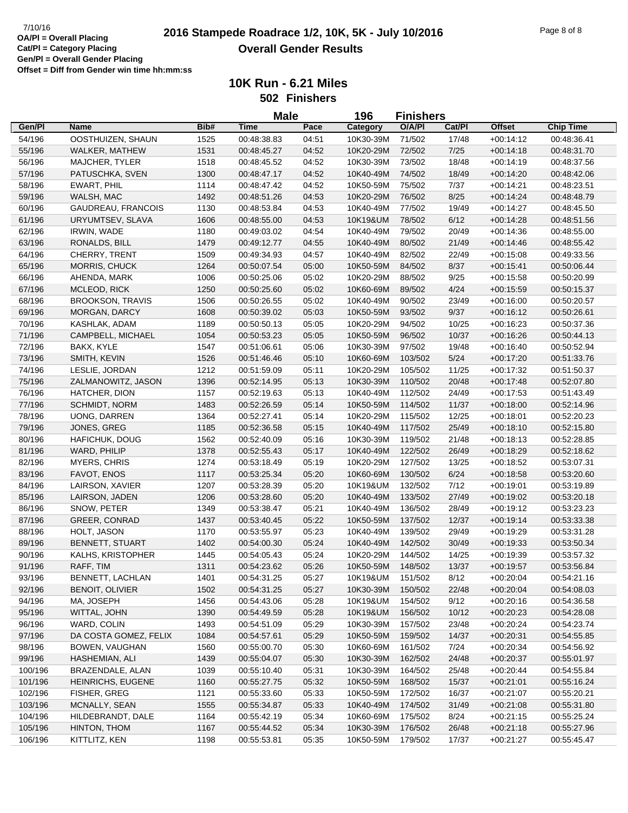|         |                         |      | <b>Male</b> |       | 196       | <b>Finishers</b> |        |               |                  |
|---------|-------------------------|------|-------------|-------|-----------|------------------|--------|---------------|------------------|
| Gen/Pl  | <b>Name</b>             | Bib# | <b>Time</b> | Pace  | Category  | O/A/PI           | Cat/PI | <b>Offset</b> | <b>Chip Time</b> |
| 54/196  | OOSTHUIZEN, SHAUN       | 1525 | 00:48:38.83 | 04:51 | 10K30-39M | 71/502           | 17/48  | $+00:14:12$   | 00:48:36.41      |
| 55/196  | WALKER, MATHEW          | 1531 | 00:48:45.27 | 04:52 | 10K20-29M | 72/502           | 7/25   | $+00:14:18$   | 00:48:31.70      |
| 56/196  | MAJCHER, TYLER          | 1518 | 00:48:45.52 | 04:52 | 10K30-39M | 73/502           | 18/48  | $+00:14:19$   | 00:48:37.56      |
| 57/196  | PATUSCHKA, SVEN         | 1300 | 00:48:47.17 | 04:52 | 10K40-49M | 74/502           | 18/49  | $+00:14:20$   | 00:48:42.06      |
| 58/196  | EWART, PHIL             | 1114 | 00:48:47.42 | 04:52 | 10K50-59M | 75/502           | 7/37   | $+00:14:21$   | 00:48:23.51      |
| 59/196  | WALSH, MAC              | 1492 | 00:48:51.26 | 04:53 | 10K20-29M | 76/502           | 8/25   | $+00:14:24$   | 00:48:48.79      |
| 60/196  | GAUDREAU, FRANCOIS      | 1130 | 00:48:53.84 | 04:53 | 10K40-49M | 77/502           | 19/49  | $+00:14:27$   | 00:48:45.50      |
| 61/196  | URYUMTSEV, SLAVA        | 1606 | 00:48:55.00 | 04:53 | 10K19&UM  | 78/502           | 6/12   | $+00:14:28$   | 00:48:51.56      |
| 62/196  | IRWIN, WADE             | 1180 | 00:49:03.02 | 04:54 | 10K40-49M | 79/502           | 20/49  | $+00:14:36$   | 00:48:55.00      |
| 63/196  | RONALDS, BILL           | 1479 | 00:49:12.77 | 04:55 | 10K40-49M | 80/502           | 21/49  | $+00:14:46$   | 00:48:55.42      |
| 64/196  | CHERRY, TRENT           | 1509 | 00:49:34.93 | 04:57 | 10K40-49M | 82/502           | 22/49  | $+00:15:08$   | 00:49:33.56      |
| 65/196  | <b>MORRIS, CHUCK</b>    | 1264 | 00:50:07.54 | 05:00 | 10K50-59M | 84/502           | 8/37   | $+00:15:41$   | 00:50:06.44      |
| 66/196  | AHENDA, MARK            | 1006 | 00:50:25.06 | 05:02 | 10K20-29M | 88/502           | 9/25   | $+00:15:58$   | 00:50:20.99      |
| 67/196  | MCLEOD, RICK            | 1250 | 00:50:25.60 | 05:02 | 10K60-69M | 89/502           | 4/24   | $+00:15:59$   | 00:50:15.37      |
| 68/196  | <b>BROOKSON, TRAVIS</b> | 1506 | 00:50:26.55 | 05:02 | 10K40-49M | 90/502           | 23/49  | $+00:16:00$   | 00:50:20.57      |
| 69/196  | MORGAN, DARCY           | 1608 | 00:50:39.02 | 05:03 | 10K50-59M | 93/502           | 9/37   | $+00:16:12$   | 00:50:26.61      |
|         |                         |      | 00:50:50.13 |       |           |                  |        |               |                  |
| 70/196  | KASHLAK, ADAM           | 1189 |             | 05:05 | 10K20-29M | 94/502           | 10/25  | $+00:16:23$   | 00:50:37.36      |
| 71/196  | CAMPBELL, MICHAEL       | 1054 | 00:50:53.23 | 05:05 | 10K50-59M | 96/502           | 10/37  | $+00:16:26$   | 00:50:44.13      |
| 72/196  | BAKX, KYLE              | 1547 | 00:51:06.61 | 05:06 | 10K30-39M | 97/502           | 19/48  | $+00:16:40$   | 00:50:52.94      |
| 73/196  | SMITH, KEVIN            | 1526 | 00:51:46.46 | 05:10 | 10K60-69M | 103/502          | 5/24   | $+00:17:20$   | 00:51:33.76      |
| 74/196  | LESLIE, JORDAN          | 1212 | 00:51:59.09 | 05:11 | 10K20-29M | 105/502          | 11/25  | $+00:17:32$   | 00:51:50.37      |
| 75/196  | ZALMANOWITZ, JASON      | 1396 | 00:52:14.95 | 05:13 | 10K30-39M | 110/502          | 20/48  | $+00:17:48$   | 00:52:07.80      |
| 76/196  | HATCHER, DION           | 1157 | 00:52:19.63 | 05:13 | 10K40-49M | 112/502          | 24/49  | $+00:17:53$   | 00:51:43.49      |
| 77/196  | SCHMIDT, NORM           | 1483 | 00:52:26.59 | 05:14 | 10K50-59M | 114/502          | 11/37  | $+00:18:00$   | 00:52:14.96      |
| 78/196  | <b>UONG, DARREN</b>     | 1364 | 00:52:27.41 | 05:14 | 10K20-29M | 115/502          | 12/25  | $+00:18:01$   | 00:52:20.23      |
| 79/196  | JONES, GREG             | 1185 | 00:52:36.58 | 05:15 | 10K40-49M | 117/502          | 25/49  | $+00:18:10$   | 00:52:15.80      |
| 80/196  | HAFICHUK, DOUG          | 1562 | 00:52:40.09 | 05:16 | 10K30-39M | 119/502          | 21/48  | $+00:18:13$   | 00:52:28.85      |
| 81/196  | WARD, PHILIP            | 1378 | 00:52:55.43 | 05:17 | 10K40-49M | 122/502          | 26/49  | $+00:18:29$   | 00:52:18.62      |
| 82/196  | <b>MYERS, CHRIS</b>     | 1274 | 00:53:18.49 | 05:19 | 10K20-29M | 127/502          | 13/25  | $+00:18:52$   | 00:53:07.31      |
| 83/196  | FAVOT, ENOS             | 1117 | 00:53:25.34 | 05:20 | 10K60-69M | 130/502          | 6/24   | $+00:18:58$   | 00:53:20.60      |
| 84/196  | LAIRSON, XAVIER         | 1207 | 00:53:28.39 | 05:20 | 10K19&UM  | 132/502          | 7/12   | $+00:19:01$   | 00:53:19.89      |
| 85/196  | LAIRSON, JADEN          | 1206 | 00:53:28.60 | 05:20 | 10K40-49M | 133/502          | 27/49  | $+00:19:02$   | 00:53:20.18      |
| 86/196  | SNOW, PETER             | 1349 | 00:53:38.47 | 05:21 | 10K40-49M | 136/502          | 28/49  | $+00:19:12$   | 00:53:23.23      |
| 87/196  | <b>GREER, CONRAD</b>    | 1437 | 00:53:40.45 | 05:22 | 10K50-59M | 137/502          | 12/37  | $+00:19:14$   | 00:53:33.38      |
| 88/196  | HOLT, JASON             | 1170 | 00:53:55.97 | 05:23 | 10K40-49M | 139/502          | 29/49  | $+00:19:29$   | 00:53:31.28      |
| 89/196  | <b>BENNETT, STUART</b>  | 1402 | 00:54:00.30 | 05:24 | 10K40-49M | 142/502          | 30/49  | $+00:19:33$   | 00:53:50.34      |
| 90/196  | KALHS, KRISTOPHER       | 1445 | 00:54:05.43 | 05:24 | 10K20-29M | 144/502          | 14/25  | $+00:19:39$   | 00:53:57.32      |
| 91/196  | RAFF, TIM               | 1311 | 00:54:23.62 | 05:26 | 10K50-59M | 148/502          | 13/37  | $+00:19:57$   | 00:53:56.84      |
| 93/196  | BENNETT, LACHLAN        | 1401 | 00:54:31.25 | 05:27 | 10K19&UM  | 151/502          | 8/12   | $+00:20:04$   | 00:54:21.16      |
| 92/196  | <b>BENOIT, OLIVIER</b>  | 1502 | 00:54:31.25 | 05:27 | 10K30-39M | 150/502          | 22/48  | $+00:20:04$   | 00:54:08.03      |
| 94/196  | MA, JOSEPH              | 1456 | 00:54:43.06 | 05:28 | 10K19&UM  | 154/502          | 9/12   | $+00:20:16$   | 00:54:36.58      |
| 95/196  | WITTAL, JOHN            | 1390 | 00:54:49.59 | 05:28 | 10K19&UM  | 156/502          | 10/12  | $+00:20:23$   | 00:54:28.08      |
| 96/196  | WARD, COLIN             | 1493 | 00:54:51.09 | 05:29 | 10K30-39M | 157/502          | 23/48  | $+00:20:24$   | 00:54:23.74      |
| 97/196  | DA COSTA GOMEZ, FELIX   | 1084 | 00:54:57.61 | 05:29 | 10K50-59M | 159/502          | 14/37  | $+00:20:31$   | 00:54:55.85      |
| 98/196  | BOWEN, VAUGHAN          |      | 00:55:00.70 | 05:30 | 10K60-69M | 161/502          |        |               |                  |
|         |                         | 1560 |             |       |           |                  | 7/24   | $+00:20:34$   | 00:54:56.92      |
| 99/196  | HASHEMIAN, ALI          | 1439 | 00:55:04.07 | 05:30 | 10K30-39M | 162/502          | 24/48  | $+00:20:37$   | 00:55:01.97      |
| 100/196 | BRAZENDALE, ALAN        | 1039 | 00:55:10.40 | 05:31 | 10K30-39M | 164/502          | 25/48  | $+00:20:44$   | 00:54:55.84      |
| 101/196 | HEINRICHS, EUGENE       | 1160 | 00:55:27.75 | 05:32 | 10K50-59M | 168/502          | 15/37  | $+00:21:01$   | 00:55:16.24      |
| 102/196 | FISHER, GREG            | 1121 | 00:55:33.60 | 05:33 | 10K50-59M | 172/502          | 16/37  | $+00:21:07$   | 00:55:20.21      |
| 103/196 | MCNALLY, SEAN           | 1555 | 00:55:34.87 | 05:33 | 10K40-49M | 174/502          | 31/49  | $+00:21:08$   | 00:55:31.80      |
| 104/196 | HILDEBRANDT, DALE       | 1164 | 00:55:42.19 | 05:34 | 10K60-69M | 175/502          | 8/24   | $+00:21:15$   | 00:55:25.24      |
| 105/196 | HINTON, THOM            | 1167 | 00:55:44.52 | 05:34 | 10K30-39M | 176/502          | 26/48  | $+00:21:18$   | 00:55:27.96      |
| 106/196 | KITTLITZ, KEN           | 1198 | 00:55:53.81 | 05:35 | 10K50-59M | 179/502          | 17/37  | $+00:21:27$   | 00:55:45.47      |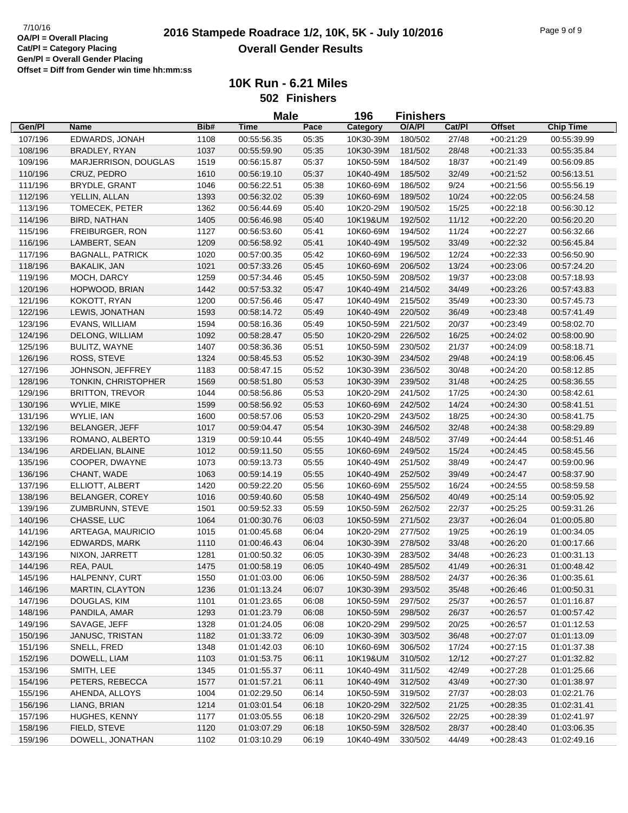|         |                         |      | <b>Male</b> |       | 196<br><b>Finishers</b> |         |        |               |                  |
|---------|-------------------------|------|-------------|-------|-------------------------|---------|--------|---------------|------------------|
| Gen/Pl  | <b>Name</b>             | Bib# | <b>Time</b> | Pace  | Category                | O/A/PI  | Cat/Pl | <b>Offset</b> | <b>Chip Time</b> |
| 107/196 | EDWARDS, JONAH          | 1108 | 00:55:56.35 | 05:35 | 10K30-39M               | 180/502 | 27/48  | $+00:21:29$   | 00:55:39.99      |
| 108/196 | BRADLEY, RYAN           | 1037 | 00:55:59.90 | 05:35 | 10K30-39M               | 181/502 | 28/48  | $+00:21:33$   | 00:55:35.84      |
| 109/196 | MARJERRISON, DOUGLAS    | 1519 | 00:56:15.87 | 05:37 | 10K50-59M               | 184/502 | 18/37  | $+00:21:49$   | 00:56:09.85      |
| 110/196 | CRUZ, PEDRO             | 1610 | 00:56:19.10 | 05:37 | 10K40-49M               | 185/502 | 32/49  | $+00:21:52$   | 00:56:13.51      |
| 111/196 | BRYDLE, GRANT           | 1046 | 00:56:22.51 | 05:38 | 10K60-69M               | 186/502 | 9/24   | $+00:21:56$   | 00:55:56.19      |
| 112/196 | YELLIN, ALLAN           | 1393 | 00:56:32.02 | 05:39 | 10K60-69M               | 189/502 | 10/24  | $+00:22:05$   | 00:56:24.58      |
| 113/196 | TOMECEK, PETER          | 1362 | 00:56:44.69 | 05:40 | 10K20-29M               | 190/502 | 15/25  | $+00:22:18$   | 00:56:30.12      |
| 114/196 | BIRD, NATHAN            | 1405 | 00:56:46.98 | 05:40 | 10K19&UM                | 192/502 | 11/12  | $+00:22:20$   | 00:56:20.20      |
| 115/196 | FREIBURGER, RON         | 1127 | 00:56:53.60 | 05:41 | 10K60-69M               | 194/502 | 11/24  | $+00:22:27$   | 00:56:32.66      |
| 116/196 | LAMBERT, SEAN           | 1209 | 00:56:58.92 | 05:41 | 10K40-49M               | 195/502 | 33/49  | $+00:22:32$   | 00:56:45.84      |
| 117/196 | <b>BAGNALL, PATRICK</b> | 1020 | 00:57:00.35 | 05:42 | 10K60-69M               | 196/502 | 12/24  | $+00:22:33$   | 00:56:50.90      |
| 118/196 | BAKALIK, JAN            | 1021 | 00:57:33.26 | 05:45 | 10K60-69M               | 206/502 | 13/24  | $+00:23:06$   | 00:57:24.20      |
| 119/196 | MOCH, DARCY             | 1259 | 00:57:34.46 | 05:45 | 10K50-59M               | 208/502 | 19/37  | $+00:23:08$   | 00:57:18.93      |
| 120/196 | HOPWOOD, BRIAN          | 1442 | 00:57:53.32 | 05:47 | 10K40-49M               | 214/502 | 34/49  | $+00:23:26$   | 00:57:43.83      |
| 121/196 | KOKOTT, RYAN            | 1200 | 00:57:56.46 | 05:47 | 10K40-49M               | 215/502 | 35/49  | $+00:23:30$   | 00:57:45.73      |
| 122/196 | LEWIS, JONATHAN         | 1593 | 00:58:14.72 | 05:49 | 10K40-49M               | 220/502 | 36/49  | $+00:23:48$   | 00:57:41.49      |
| 123/196 | EVANS, WILLIAM          | 1594 | 00:58:16.36 | 05:49 | 10K50-59M               | 221/502 | 20/37  | $+00:23:49$   | 00:58:02.70      |
| 124/196 | DELONG, WILLIAM         | 1092 | 00:58:28.47 | 05:50 | 10K20-29M               | 226/502 | 16/25  | $+00:24:02$   | 00:58:00.90      |
| 125/196 | BULITZ, WAYNE           | 1407 | 00:58:36.36 | 05:51 | 10K50-59M               | 230/502 | 21/37  | $+00:24:09$   | 00:58:18.71      |
| 126/196 | ROSS, STEVE             | 1324 | 00:58:45.53 | 05:52 | 10K30-39M               | 234/502 | 29/48  | $+00:24:19$   | 00:58:06.45      |
| 127/196 | JOHNSON, JEFFREY        | 1183 | 00:58:47.15 | 05:52 | 10K30-39M               | 236/502 | 30/48  | $+00:24:20$   | 00:58:12.85      |
| 128/196 | TONKIN, CHRISTOPHER     | 1569 | 00:58:51.80 | 05:53 | 10K30-39M               | 239/502 | 31/48  | $+00:24:25$   | 00:58:36.55      |
| 129/196 | <b>BRITTON, TREVOR</b>  | 1044 | 00:58:56.86 | 05:53 | 10K20-29M               | 241/502 | 17/25  | $+00:24:30$   | 00:58:42.61      |
| 130/196 | WYLIE, MIKE             | 1599 | 00:58:56.92 | 05:53 | 10K60-69M               | 242/502 | 14/24  | $+00:24:30$   | 00:58:41.51      |
| 131/196 | WYLIE, IAN              | 1600 | 00:58:57.06 | 05:53 | 10K20-29M               | 243/502 | 18/25  | $+00:24:30$   | 00:58:41.75      |
| 132/196 | <b>BELANGER, JEFF</b>   | 1017 | 00:59:04.47 | 05:54 | 10K30-39M               | 246/502 | 32/48  | $+00:24:38$   | 00:58:29.89      |
| 133/196 | ROMANO, ALBERTO         | 1319 | 00:59:10.44 | 05:55 | 10K40-49M               | 248/502 | 37/49  | $+00:24:44$   | 00:58:51.46      |
| 134/196 | ARDELIAN, BLAINE        | 1012 | 00:59:11.50 | 05:55 | 10K60-69M               | 249/502 | 15/24  | $+00:24:45$   | 00:58:45.56      |
| 135/196 | COOPER, DWAYNE          | 1073 | 00:59:13.73 | 05:55 | 10K40-49M               | 251/502 | 38/49  | $+00:24:47$   | 00:59:00.96      |
| 136/196 | CHANT, WADE             | 1063 | 00:59:14.19 | 05:55 | 10K40-49M               | 252/502 | 39/49  | $+00:24:47$   | 00:58:37.90      |
| 137/196 | ELLIOTT, ALBERT         | 1420 | 00:59:22.20 | 05:56 | 10K60-69M               | 255/502 | 16/24  | $+00:24:55$   | 00:58:59.58      |
| 138/196 | BELANGER, COREY         | 1016 | 00:59:40.60 | 05:58 | 10K40-49M               | 256/502 | 40/49  | $+00:25:14$   | 00:59:05.92      |
| 139/196 | ZUMBRUNN, STEVE         | 1501 | 00:59:52.33 | 05:59 | 10K50-59M               | 262/502 | 22/37  | $+00:25:25$   | 00:59:31.26      |
| 140/196 | CHASSE, LUC             | 1064 | 01:00:30.76 | 06:03 | 10K50-59M               | 271/502 | 23/37  | $+00:26:04$   | 01:00:05.80      |
| 141/196 | ARTEAGA, MAURICIO       | 1015 | 01:00:45.68 | 06:04 | 10K20-29M               | 277/502 | 19/25  | $+00:26:19$   | 01:00:34.05      |
| 142/196 | EDWARDS, MARK           | 1110 | 01:00:46.43 | 06:04 | 10K30-39M               | 278/502 | 33/48  | $+00:26:20$   | 01:00:17.66      |
| 143/196 | NIXON, JARRETT          | 1281 | 01:00:50.32 | 06:05 | 10K30-39M               | 283/502 | 34/48  | $+00:26:23$   | 01:00:31.13      |
| 144/196 | REA, PAUL               | 1475 | 01:00:58.19 | 06:05 | 10K40-49M               | 285/502 | 41/49  | $+00:26:31$   | 01:00:48.42      |
| 145/196 | HALPENNY, CURT          | 1550 | 01:01:03.00 | 06:06 | 10K50-59M               | 288/502 | 24/37  | $+00:26:36$   | 01:00:35.61      |
| 146/196 | <b>MARTIN, CLAYTON</b>  | 1236 | 01:01:13.24 | 06:07 | 10K30-39M               | 293/502 | 35/48  | $+00.26:46$   | 01:00:50.31      |
| 147/196 | DOUGLAS, KIM            | 1101 | 01:01:23.65 | 06:08 | 10K50-59M               | 297/502 | 25/37  | $+00:26:57$   | 01:01:16.87      |
| 148/196 | PANDILA, AMAR           | 1293 | 01:01:23.79 | 06:08 | 10K50-59M               | 298/502 | 26/37  | $+00.26:57$   | 01:00:57.42      |
| 149/196 | SAVAGE, JEFF            | 1328 | 01:01:24.05 | 06:08 | 10K20-29M               | 299/502 | 20/25  | $+00:26:57$   | 01:01:12.53      |
| 150/196 | JANUSC, TRISTAN         | 1182 | 01:01:33.72 | 06:09 | 10K30-39M               | 303/502 | 36/48  | $+00:27:07$   | 01:01:13.09      |
| 151/196 | SNELL, FRED             | 1348 | 01:01:42.03 | 06:10 | 10K60-69M               | 306/502 | 17/24  | $+00:27:15$   | 01:01:37.38      |
| 152/196 | DOWELL, LIAM            | 1103 | 01:01:53.75 | 06:11 | 10K19&UM                | 310/502 | 12/12  | $+00:27:27$   | 01:01:32.82      |
| 153/196 | SMITH, LEE              | 1345 | 01:01:55.37 | 06:11 | 10K40-49M               | 311/502 | 42/49  | $+00:27:28$   | 01:01:25.66      |
| 154/196 | PETERS, REBECCA         | 1577 | 01:01:57.21 | 06:11 | 10K40-49M               | 312/502 | 43/49  | $+00:27:30$   | 01:01:38.97      |
| 155/196 | AHENDA, ALLOYS          | 1004 | 01:02:29.50 | 06:14 | 10K50-59M               | 319/502 | 27/37  | $+00:28:03$   | 01:02:21.76      |
| 156/196 | LIANG, BRIAN            | 1214 | 01:03:01.54 | 06:18 | 10K20-29M               | 322/502 | 21/25  | $+00:28:35$   | 01:02:31.41      |
| 157/196 | HUGHES, KENNY           | 1177 | 01:03:05.55 | 06:18 | 10K20-29M               | 326/502 | 22/25  | $+00:28:39$   | 01:02:41.97      |
| 158/196 | FIELD, STEVE            | 1120 | 01:03:07.29 | 06:18 | 10K50-59M               | 328/502 | 28/37  | $+00.28:40$   | 01:03:06.35      |
| 159/196 | DOWELL, JONATHAN        | 1102 | 01:03:10.29 | 06:19 | 10K40-49M               | 330/502 | 44/49  | $+00:28:43$   | 01:02:49.16      |